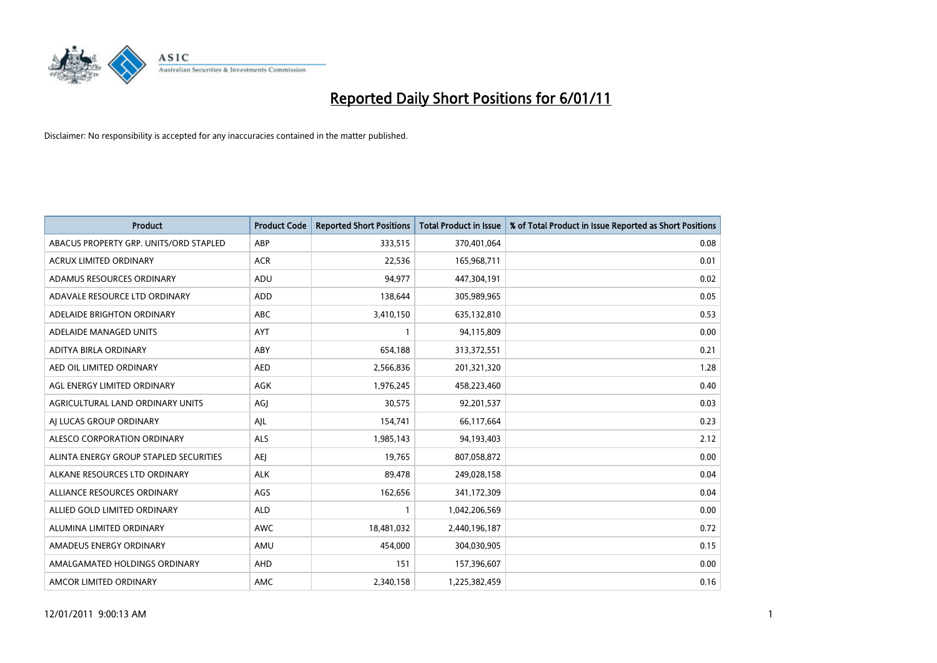

| Product                                | <b>Product Code</b> | <b>Reported Short Positions</b> | <b>Total Product in Issue</b> | % of Total Product in Issue Reported as Short Positions |
|----------------------------------------|---------------------|---------------------------------|-------------------------------|---------------------------------------------------------|
| ABACUS PROPERTY GRP. UNITS/ORD STAPLED | ABP                 | 333,515                         | 370,401,064                   | 0.08                                                    |
| <b>ACRUX LIMITED ORDINARY</b>          | <b>ACR</b>          | 22,536                          | 165,968,711                   | 0.01                                                    |
| ADAMUS RESOURCES ORDINARY              | <b>ADU</b>          | 94,977                          | 447,304,191                   | 0.02                                                    |
| ADAVALE RESOURCE LTD ORDINARY          | <b>ADD</b>          | 138,644                         | 305,989,965                   | 0.05                                                    |
| ADELAIDE BRIGHTON ORDINARY             | <b>ABC</b>          | 3,410,150                       | 635,132,810                   | 0.53                                                    |
| ADELAIDE MANAGED UNITS                 | <b>AYT</b>          | $\mathbf{1}$                    | 94,115,809                    | 0.00                                                    |
| ADITYA BIRLA ORDINARY                  | ABY                 | 654,188                         | 313,372,551                   | 0.21                                                    |
| AED OIL LIMITED ORDINARY               | <b>AED</b>          | 2,566,836                       | 201,321,320                   | 1.28                                                    |
| AGL ENERGY LIMITED ORDINARY            | <b>AGK</b>          | 1,976,245                       | 458,223,460                   | 0.40                                                    |
| AGRICULTURAL LAND ORDINARY UNITS       | AGJ                 | 30,575                          | 92,201,537                    | 0.03                                                    |
| AI LUCAS GROUP ORDINARY                | AJL                 | 154,741                         | 66,117,664                    | 0.23                                                    |
| ALESCO CORPORATION ORDINARY            | <b>ALS</b>          | 1,985,143                       | 94,193,403                    | 2.12                                                    |
| ALINTA ENERGY GROUP STAPLED SECURITIES | <b>AEJ</b>          | 19,765                          | 807,058,872                   | 0.00                                                    |
| ALKANE RESOURCES LTD ORDINARY          | <b>ALK</b>          | 89.478                          | 249,028,158                   | 0.04                                                    |
| ALLIANCE RESOURCES ORDINARY            | AGS                 | 162,656                         | 341,172,309                   | 0.04                                                    |
| ALLIED GOLD LIMITED ORDINARY           | <b>ALD</b>          | 1                               | 1,042,206,569                 | 0.00                                                    |
| ALUMINA LIMITED ORDINARY               | <b>AWC</b>          | 18,481,032                      | 2,440,196,187                 | 0.72                                                    |
| AMADEUS ENERGY ORDINARY                | AMU                 | 454,000                         | 304,030,905                   | 0.15                                                    |
| AMALGAMATED HOLDINGS ORDINARY          | AHD                 | 151                             | 157,396,607                   | 0.00                                                    |
| AMCOR LIMITED ORDINARY                 | AMC                 | 2,340,158                       | 1,225,382,459                 | 0.16                                                    |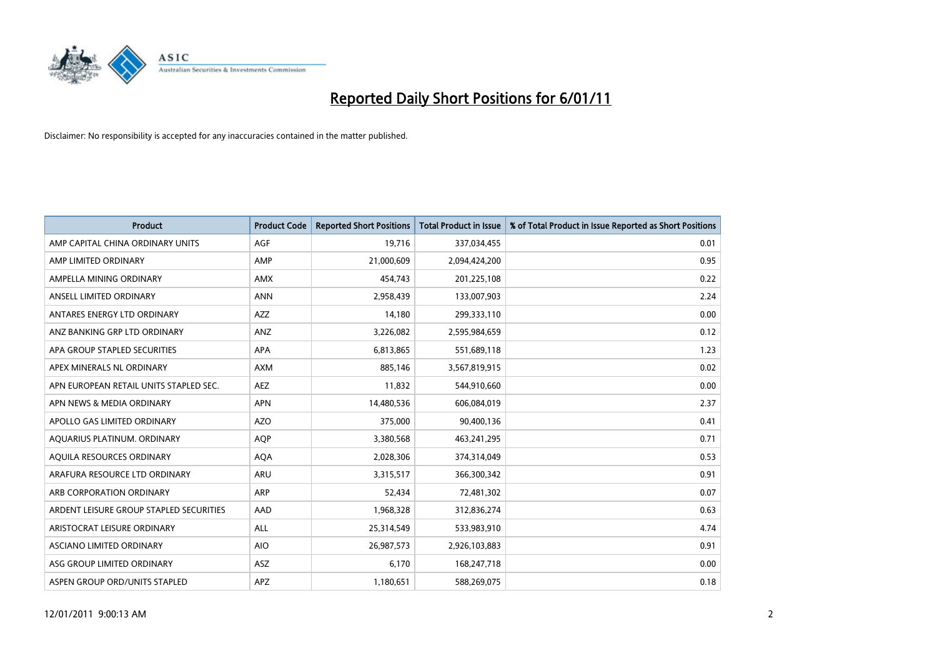

| <b>Product</b>                          | <b>Product Code</b> | <b>Reported Short Positions</b> | <b>Total Product in Issue</b> | % of Total Product in Issue Reported as Short Positions |
|-----------------------------------------|---------------------|---------------------------------|-------------------------------|---------------------------------------------------------|
| AMP CAPITAL CHINA ORDINARY UNITS        | AGF                 | 19,716                          | 337,034,455                   | 0.01                                                    |
| AMP LIMITED ORDINARY                    | AMP                 | 21,000,609                      | 2,094,424,200                 | 0.95                                                    |
| AMPELLA MINING ORDINARY                 | <b>AMX</b>          | 454,743                         | 201,225,108                   | 0.22                                                    |
| ANSELL LIMITED ORDINARY                 | <b>ANN</b>          | 2,958,439                       | 133,007,903                   | 2.24                                                    |
| ANTARES ENERGY LTD ORDINARY             | <b>AZZ</b>          | 14,180                          | 299,333,110                   | 0.00                                                    |
| ANZ BANKING GRP LTD ORDINARY            | ANZ                 | 3,226,082                       | 2,595,984,659                 | 0.12                                                    |
| APA GROUP STAPLED SECURITIES            | <b>APA</b>          | 6,813,865                       | 551,689,118                   | 1.23                                                    |
| APEX MINERALS NL ORDINARY               | <b>AXM</b>          | 885,146                         | 3,567,819,915                 | 0.02                                                    |
| APN EUROPEAN RETAIL UNITS STAPLED SEC.  | <b>AEZ</b>          | 11,832                          | 544,910,660                   | 0.00                                                    |
| APN NEWS & MEDIA ORDINARY               | <b>APN</b>          | 14,480,536                      | 606,084,019                   | 2.37                                                    |
| APOLLO GAS LIMITED ORDINARY             | <b>AZO</b>          | 375,000                         | 90,400,136                    | 0.41                                                    |
| AQUARIUS PLATINUM. ORDINARY             | <b>AOP</b>          | 3,380,568                       | 463,241,295                   | 0.71                                                    |
| AQUILA RESOURCES ORDINARY               | <b>AQA</b>          | 2,028,306                       | 374,314,049                   | 0.53                                                    |
| ARAFURA RESOURCE LTD ORDINARY           | <b>ARU</b>          | 3,315,517                       | 366,300,342                   | 0.91                                                    |
| ARB CORPORATION ORDINARY                | <b>ARP</b>          | 52,434                          | 72,481,302                    | 0.07                                                    |
| ARDENT LEISURE GROUP STAPLED SECURITIES | AAD                 | 1,968,328                       | 312,836,274                   | 0.63                                                    |
| ARISTOCRAT LEISURE ORDINARY             | <b>ALL</b>          | 25,314,549                      | 533,983,910                   | 4.74                                                    |
| ASCIANO LIMITED ORDINARY                | <b>AIO</b>          | 26,987,573                      | 2,926,103,883                 | 0.91                                                    |
| ASG GROUP LIMITED ORDINARY              | ASZ                 | 6,170                           | 168,247,718                   | 0.00                                                    |
| ASPEN GROUP ORD/UNITS STAPLED           | APZ                 | 1,180,651                       | 588,269,075                   | 0.18                                                    |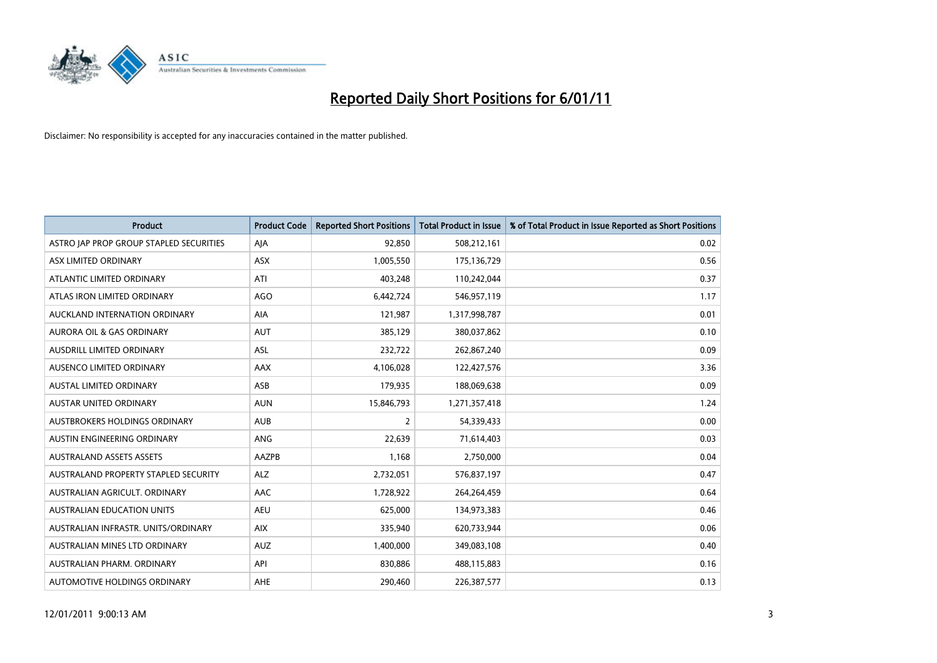

| <b>Product</b>                          | <b>Product Code</b> | <b>Reported Short Positions</b> | <b>Total Product in Issue</b> | % of Total Product in Issue Reported as Short Positions |
|-----------------------------------------|---------------------|---------------------------------|-------------------------------|---------------------------------------------------------|
| ASTRO JAP PROP GROUP STAPLED SECURITIES | AJA                 | 92,850                          | 508,212,161                   | 0.02                                                    |
| ASX LIMITED ORDINARY                    | ASX                 | 1,005,550                       | 175,136,729                   | 0.56                                                    |
| ATLANTIC LIMITED ORDINARY               | ATI                 | 403,248                         | 110,242,044                   | 0.37                                                    |
| ATLAS IRON LIMITED ORDINARY             | <b>AGO</b>          | 6,442,724                       | 546,957,119                   | 1.17                                                    |
| AUCKLAND INTERNATION ORDINARY           | AIA                 | 121,987                         | 1,317,998,787                 | 0.01                                                    |
| <b>AURORA OIL &amp; GAS ORDINARY</b>    | <b>AUT</b>          | 385,129                         | 380,037,862                   | 0.10                                                    |
| AUSDRILL LIMITED ORDINARY               | <b>ASL</b>          | 232,722                         | 262,867,240                   | 0.09                                                    |
| AUSENCO LIMITED ORDINARY                | <b>AAX</b>          | 4,106,028                       | 122,427,576                   | 3.36                                                    |
| AUSTAL LIMITED ORDINARY                 | ASB                 | 179,935                         | 188,069,638                   | 0.09                                                    |
| <b>AUSTAR UNITED ORDINARY</b>           | <b>AUN</b>          | 15,846,793                      | 1,271,357,418                 | 1.24                                                    |
| AUSTBROKERS HOLDINGS ORDINARY           | <b>AUB</b>          | 2                               | 54,339,433                    | 0.00                                                    |
| AUSTIN ENGINEERING ORDINARY             | ANG                 | 22,639                          | 71,614,403                    | 0.03                                                    |
| <b>AUSTRALAND ASSETS ASSETS</b>         | AAZPB               | 1,168                           | 2,750,000                     | 0.04                                                    |
| AUSTRALAND PROPERTY STAPLED SECURITY    | <b>ALZ</b>          | 2,732,051                       | 576,837,197                   | 0.47                                                    |
| AUSTRALIAN AGRICULT, ORDINARY           | AAC                 | 1,728,922                       | 264,264,459                   | 0.64                                                    |
| AUSTRALIAN EDUCATION UNITS              | <b>AEU</b>          | 625,000                         | 134,973,383                   | 0.46                                                    |
| AUSTRALIAN INFRASTR, UNITS/ORDINARY     | <b>AIX</b>          | 335,940                         | 620,733,944                   | 0.06                                                    |
| AUSTRALIAN MINES LTD ORDINARY           | <b>AUZ</b>          | 1,400,000                       | 349,083,108                   | 0.40                                                    |
| AUSTRALIAN PHARM, ORDINARY              | API                 | 830,886                         | 488,115,883                   | 0.16                                                    |
| AUTOMOTIVE HOLDINGS ORDINARY            | <b>AHE</b>          | 290,460                         | 226,387,577                   | 0.13                                                    |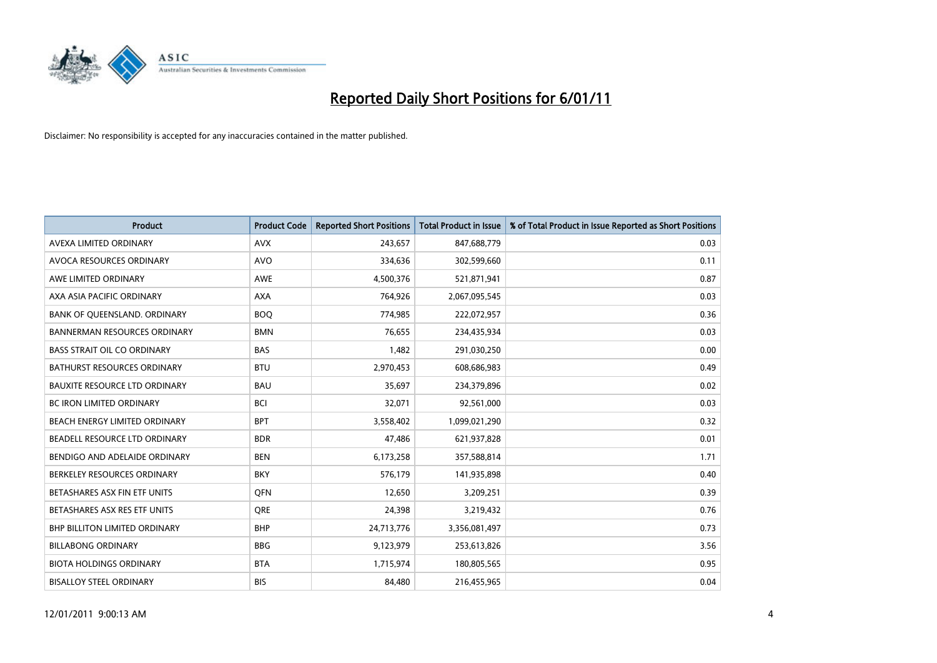

| Product                              | <b>Product Code</b> | <b>Reported Short Positions</b> | <b>Total Product in Issue</b> | % of Total Product in Issue Reported as Short Positions |
|--------------------------------------|---------------------|---------------------------------|-------------------------------|---------------------------------------------------------|
| AVEXA LIMITED ORDINARY               | <b>AVX</b>          | 243,657                         | 847,688,779                   | 0.03                                                    |
| AVOCA RESOURCES ORDINARY             | <b>AVO</b>          | 334,636                         | 302,599,660                   | 0.11                                                    |
| AWE LIMITED ORDINARY                 | <b>AWE</b>          | 4,500,376                       | 521,871,941                   | 0.87                                                    |
| AXA ASIA PACIFIC ORDINARY            | <b>AXA</b>          | 764,926                         | 2,067,095,545                 | 0.03                                                    |
| BANK OF QUEENSLAND. ORDINARY         | <b>BOO</b>          | 774,985                         | 222,072,957                   | 0.36                                                    |
| <b>BANNERMAN RESOURCES ORDINARY</b>  | <b>BMN</b>          | 76,655                          | 234,435,934                   | 0.03                                                    |
| <b>BASS STRAIT OIL CO ORDINARY</b>   | <b>BAS</b>          | 1,482                           | 291,030,250                   | 0.00                                                    |
| BATHURST RESOURCES ORDINARY          | <b>BTU</b>          | 2,970,453                       | 608,686,983                   | 0.49                                                    |
| <b>BAUXITE RESOURCE LTD ORDINARY</b> | <b>BAU</b>          | 35,697                          | 234,379,896                   | 0.02                                                    |
| <b>BC IRON LIMITED ORDINARY</b>      | <b>BCI</b>          | 32,071                          | 92,561,000                    | 0.03                                                    |
| BEACH ENERGY LIMITED ORDINARY        | <b>BPT</b>          | 3,558,402                       | 1,099,021,290                 | 0.32                                                    |
| BEADELL RESOURCE LTD ORDINARY        | <b>BDR</b>          | 47,486                          | 621,937,828                   | 0.01                                                    |
| BENDIGO AND ADELAIDE ORDINARY        | <b>BEN</b>          | 6,173,258                       | 357,588,814                   | 1.71                                                    |
| BERKELEY RESOURCES ORDINARY          | <b>BKY</b>          | 576,179                         | 141,935,898                   | 0.40                                                    |
| BETASHARES ASX FIN ETF UNITS         | <b>OFN</b>          | 12,650                          | 3,209,251                     | 0.39                                                    |
| BETASHARES ASX RES ETF UNITS         | <b>ORE</b>          | 24,398                          | 3,219,432                     | 0.76                                                    |
| BHP BILLITON LIMITED ORDINARY        | <b>BHP</b>          | 24,713,776                      | 3,356,081,497                 | 0.73                                                    |
| <b>BILLABONG ORDINARY</b>            | <b>BBG</b>          | 9,123,979                       | 253,613,826                   | 3.56                                                    |
| <b>BIOTA HOLDINGS ORDINARY</b>       | <b>BTA</b>          | 1,715,974                       | 180,805,565                   | 0.95                                                    |
| <b>BISALLOY STEEL ORDINARY</b>       | <b>BIS</b>          | 84,480                          | 216,455,965                   | 0.04                                                    |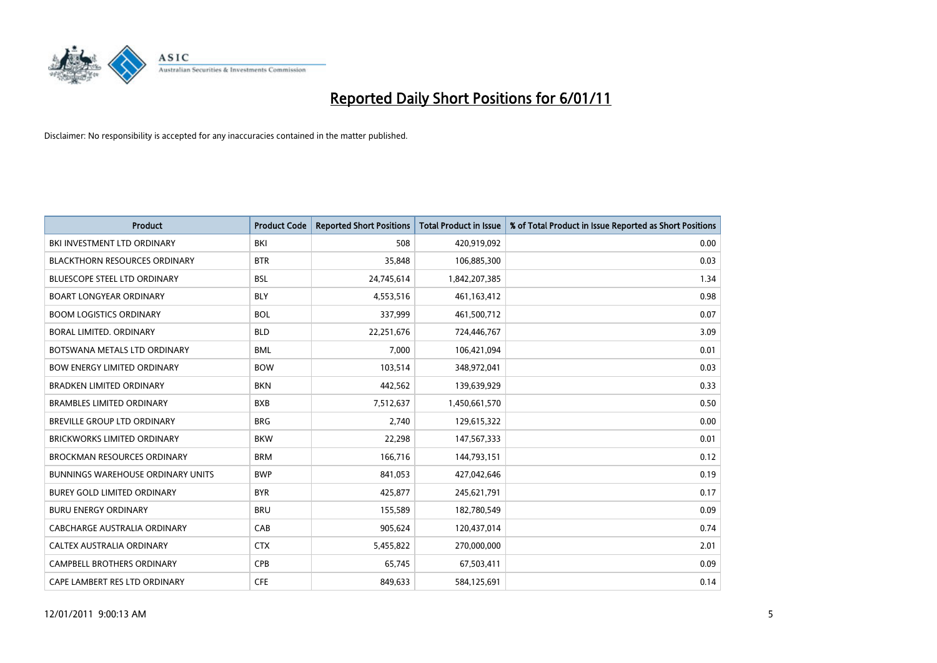

| Product                                  | <b>Product Code</b> | <b>Reported Short Positions</b> | <b>Total Product in Issue</b> | % of Total Product in Issue Reported as Short Positions |
|------------------------------------------|---------------------|---------------------------------|-------------------------------|---------------------------------------------------------|
| BKI INVESTMENT LTD ORDINARY              | BKI                 | 508                             | 420,919,092                   | 0.00                                                    |
| <b>BLACKTHORN RESOURCES ORDINARY</b>     | <b>BTR</b>          | 35,848                          | 106,885,300                   | 0.03                                                    |
| <b>BLUESCOPE STEEL LTD ORDINARY</b>      | <b>BSL</b>          | 24,745,614                      | 1,842,207,385                 | 1.34                                                    |
| <b>BOART LONGYEAR ORDINARY</b>           | <b>BLY</b>          | 4,553,516                       | 461, 163, 412                 | 0.98                                                    |
| <b>BOOM LOGISTICS ORDINARY</b>           | <b>BOL</b>          | 337,999                         | 461,500,712                   | 0.07                                                    |
| <b>BORAL LIMITED, ORDINARY</b>           | <b>BLD</b>          | 22,251,676                      | 724,446,767                   | 3.09                                                    |
| BOTSWANA METALS LTD ORDINARY             | <b>BML</b>          | 7,000                           | 106,421,094                   | 0.01                                                    |
| <b>BOW ENERGY LIMITED ORDINARY</b>       | <b>BOW</b>          | 103,514                         | 348,972,041                   | 0.03                                                    |
| <b>BRADKEN LIMITED ORDINARY</b>          | <b>BKN</b>          | 442,562                         | 139,639,929                   | 0.33                                                    |
| <b>BRAMBLES LIMITED ORDINARY</b>         | <b>BXB</b>          | 7,512,637                       | 1,450,661,570                 | 0.50                                                    |
| BREVILLE GROUP LTD ORDINARY              | <b>BRG</b>          | 2,740                           | 129,615,322                   | 0.00                                                    |
| <b>BRICKWORKS LIMITED ORDINARY</b>       | <b>BKW</b>          | 22,298                          | 147,567,333                   | 0.01                                                    |
| <b>BROCKMAN RESOURCES ORDINARY</b>       | <b>BRM</b>          | 166,716                         | 144,793,151                   | 0.12                                                    |
| <b>BUNNINGS WAREHOUSE ORDINARY UNITS</b> | <b>BWP</b>          | 841,053                         | 427,042,646                   | 0.19                                                    |
| <b>BUREY GOLD LIMITED ORDINARY</b>       | <b>BYR</b>          | 425,877                         | 245,621,791                   | 0.17                                                    |
| <b>BURU ENERGY ORDINARY</b>              | <b>BRU</b>          | 155,589                         | 182,780,549                   | 0.09                                                    |
| <b>CABCHARGE AUSTRALIA ORDINARY</b>      | CAB                 | 905,624                         | 120,437,014                   | 0.74                                                    |
| CALTEX AUSTRALIA ORDINARY                | <b>CTX</b>          | 5,455,822                       | 270,000,000                   | 2.01                                                    |
| <b>CAMPBELL BROTHERS ORDINARY</b>        | CPB                 | 65,745                          | 67,503,411                    | 0.09                                                    |
| CAPE LAMBERT RES LTD ORDINARY            | <b>CFE</b>          | 849,633                         | 584,125,691                   | 0.14                                                    |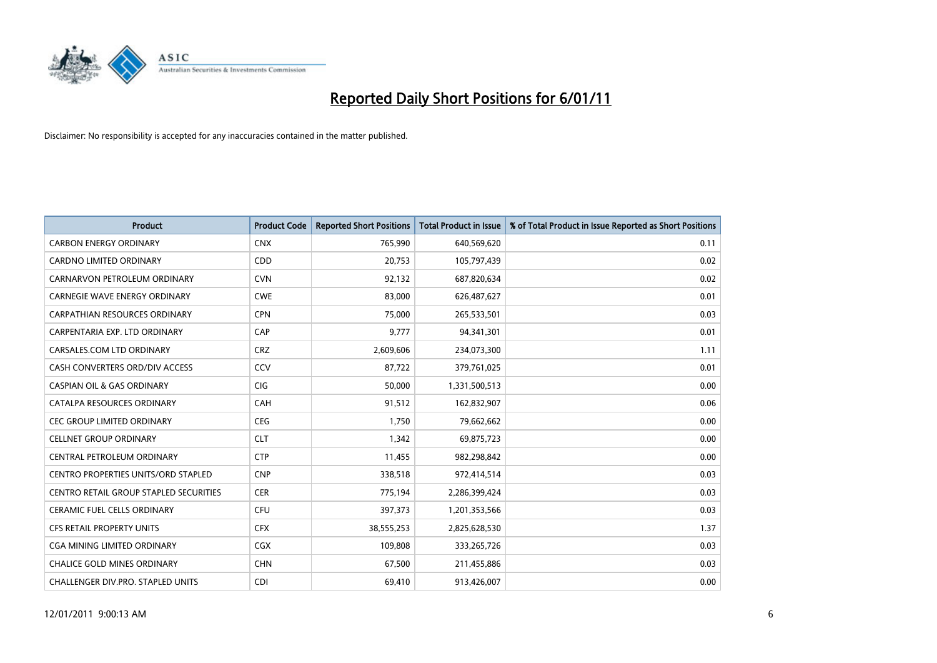

| Product                                | <b>Product Code</b> | <b>Reported Short Positions</b> | <b>Total Product in Issue</b> | % of Total Product in Issue Reported as Short Positions |
|----------------------------------------|---------------------|---------------------------------|-------------------------------|---------------------------------------------------------|
| <b>CARBON ENERGY ORDINARY</b>          | <b>CNX</b>          | 765,990                         | 640,569,620                   | 0.11                                                    |
| CARDNO LIMITED ORDINARY                | <b>CDD</b>          | 20,753                          | 105,797,439                   | 0.02                                                    |
| CARNARVON PETROLEUM ORDINARY           | <b>CVN</b>          | 92,132                          | 687,820,634                   | 0.02                                                    |
| CARNEGIE WAVE ENERGY ORDINARY          | <b>CWE</b>          | 83,000                          | 626,487,627                   | 0.01                                                    |
| <b>CARPATHIAN RESOURCES ORDINARY</b>   | <b>CPN</b>          | 75,000                          | 265,533,501                   | 0.03                                                    |
| CARPENTARIA EXP. LTD ORDINARY          | CAP                 | 9,777                           | 94,341,301                    | 0.01                                                    |
| CARSALES.COM LTD ORDINARY              | <b>CRZ</b>          | 2,609,606                       | 234,073,300                   | 1.11                                                    |
| CASH CONVERTERS ORD/DIV ACCESS         | CCV                 | 87,722                          | 379,761,025                   | 0.01                                                    |
| <b>CASPIAN OIL &amp; GAS ORDINARY</b>  | CIG                 | 50,000                          | 1,331,500,513                 | 0.00                                                    |
| CATALPA RESOURCES ORDINARY             | CAH                 | 91,512                          | 162,832,907                   | 0.06                                                    |
| CEC GROUP LIMITED ORDINARY             | CEG                 | 1,750                           | 79,662,662                    | 0.00                                                    |
| <b>CELLNET GROUP ORDINARY</b>          | <b>CLT</b>          | 1,342                           | 69,875,723                    | 0.00                                                    |
| CENTRAL PETROLEUM ORDINARY             | <b>CTP</b>          | 11,455                          | 982,298,842                   | 0.00                                                    |
| CENTRO PROPERTIES UNITS/ORD STAPLED    | <b>CNP</b>          | 338,518                         | 972,414,514                   | 0.03                                                    |
| CENTRO RETAIL GROUP STAPLED SECURITIES | <b>CER</b>          | 775,194                         | 2,286,399,424                 | 0.03                                                    |
| CERAMIC FUEL CELLS ORDINARY            | <b>CFU</b>          | 397,373                         | 1,201,353,566                 | 0.03                                                    |
| CFS RETAIL PROPERTY UNITS              | <b>CFX</b>          | 38,555,253                      | 2,825,628,530                 | 1.37                                                    |
| <b>CGA MINING LIMITED ORDINARY</b>     | <b>CGX</b>          | 109,808                         | 333,265,726                   | 0.03                                                    |
| <b>CHALICE GOLD MINES ORDINARY</b>     | <b>CHN</b>          | 67,500                          | 211,455,886                   | 0.03                                                    |
| CHALLENGER DIV.PRO. STAPLED UNITS      | <b>CDI</b>          | 69,410                          | 913,426,007                   | 0.00                                                    |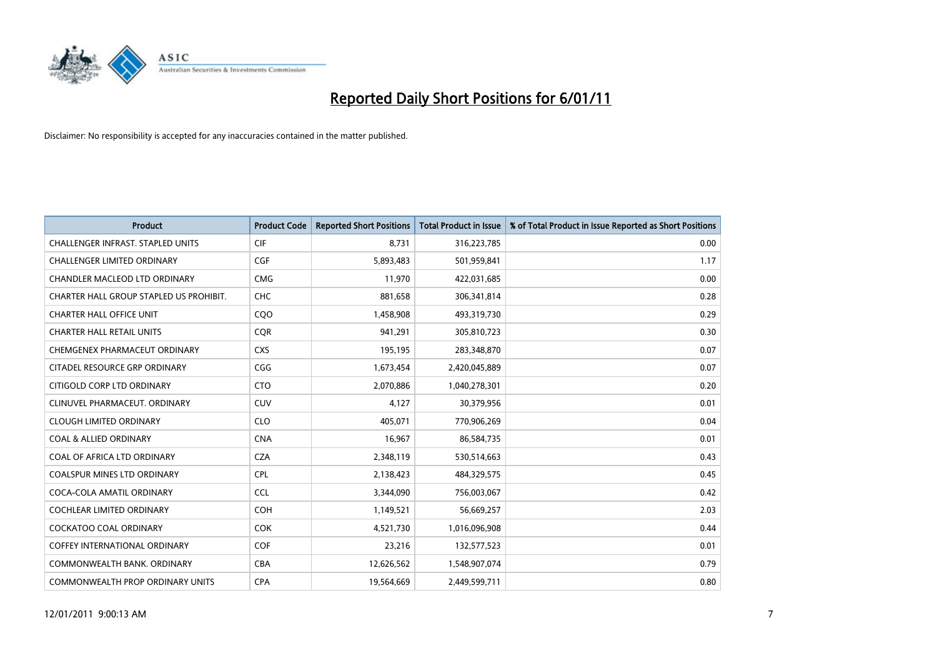

| <b>Product</b>                           | <b>Product Code</b> | <b>Reported Short Positions</b> | <b>Total Product in Issue</b> | % of Total Product in Issue Reported as Short Positions |
|------------------------------------------|---------------------|---------------------------------|-------------------------------|---------------------------------------------------------|
| <b>CHALLENGER INFRAST, STAPLED UNITS</b> | <b>CIF</b>          | 8,731                           | 316,223,785                   | 0.00                                                    |
| CHALLENGER LIMITED ORDINARY              | <b>CGF</b>          | 5,893,483                       | 501,959,841                   | 1.17                                                    |
| CHANDLER MACLEOD LTD ORDINARY            | <b>CMG</b>          | 11,970                          | 422,031,685                   | 0.00                                                    |
| CHARTER HALL GROUP STAPLED US PROHIBIT.  | <b>CHC</b>          | 881,658                         | 306,341,814                   | 0.28                                                    |
| <b>CHARTER HALL OFFICE UNIT</b>          | COO                 | 1,458,908                       | 493,319,730                   | 0.29                                                    |
| <b>CHARTER HALL RETAIL UNITS</b>         | <b>COR</b>          | 941,291                         | 305,810,723                   | 0.30                                                    |
| CHEMGENEX PHARMACEUT ORDINARY            | <b>CXS</b>          | 195,195                         | 283,348,870                   | 0.07                                                    |
| CITADEL RESOURCE GRP ORDINARY            | CGG                 | 1,673,454                       | 2,420,045,889                 | 0.07                                                    |
| CITIGOLD CORP LTD ORDINARY               | <b>CTO</b>          | 2,070,886                       | 1,040,278,301                 | 0.20                                                    |
| CLINUVEL PHARMACEUT, ORDINARY            | <b>CUV</b>          | 4,127                           | 30,379,956                    | 0.01                                                    |
| <b>CLOUGH LIMITED ORDINARY</b>           | <b>CLO</b>          | 405,071                         | 770,906,269                   | 0.04                                                    |
| <b>COAL &amp; ALLIED ORDINARY</b>        | <b>CNA</b>          | 16,967                          | 86,584,735                    | 0.01                                                    |
| COAL OF AFRICA LTD ORDINARY              | <b>CZA</b>          | 2,348,119                       | 530,514,663                   | 0.43                                                    |
| <b>COALSPUR MINES LTD ORDINARY</b>       | <b>CPL</b>          | 2,138,423                       | 484,329,575                   | 0.45                                                    |
| COCA-COLA AMATIL ORDINARY                | <b>CCL</b>          | 3,344,090                       | 756,003,067                   | 0.42                                                    |
| <b>COCHLEAR LIMITED ORDINARY</b>         | <b>COH</b>          | 1,149,521                       | 56,669,257                    | 2.03                                                    |
| <b>COCKATOO COAL ORDINARY</b>            | <b>COK</b>          | 4,521,730                       | 1,016,096,908                 | 0.44                                                    |
| <b>COFFEY INTERNATIONAL ORDINARY</b>     | <b>COF</b>          | 23,216                          | 132,577,523                   | 0.01                                                    |
| COMMONWEALTH BANK, ORDINARY              | <b>CBA</b>          | 12,626,562                      | 1,548,907,074                 | 0.79                                                    |
| COMMONWEALTH PROP ORDINARY UNITS         | <b>CPA</b>          | 19,564,669                      | 2,449,599,711                 | 0.80                                                    |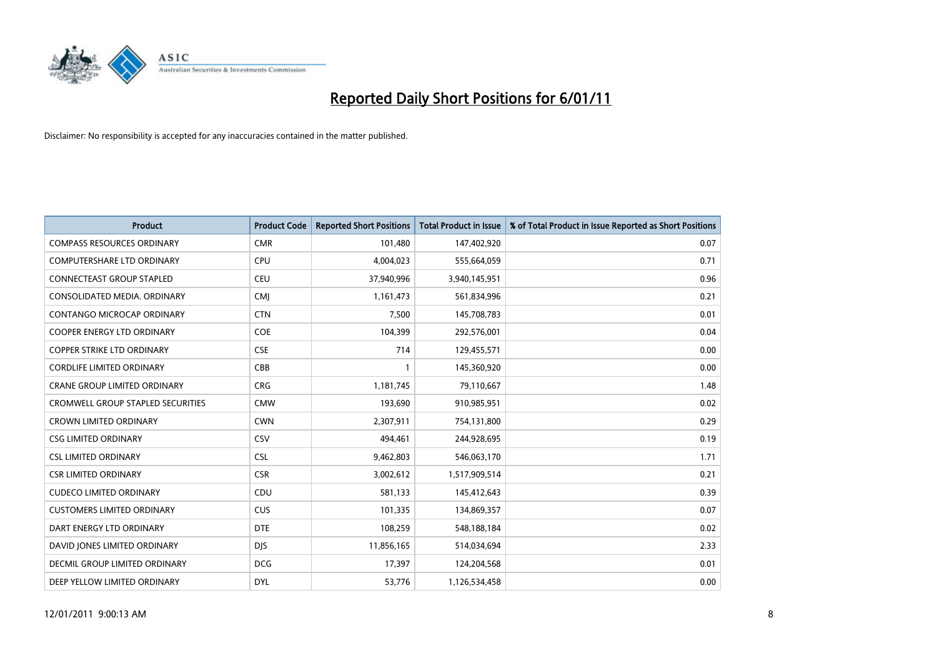

| Product                                  | <b>Product Code</b> | <b>Reported Short Positions</b> | <b>Total Product in Issue</b> | % of Total Product in Issue Reported as Short Positions |
|------------------------------------------|---------------------|---------------------------------|-------------------------------|---------------------------------------------------------|
| <b>COMPASS RESOURCES ORDINARY</b>        | <b>CMR</b>          | 101,480                         | 147,402,920                   | 0.07                                                    |
| <b>COMPUTERSHARE LTD ORDINARY</b>        | <b>CPU</b>          | 4,004,023                       | 555,664,059                   | 0.71                                                    |
| CONNECTEAST GROUP STAPLED                | <b>CEU</b>          | 37,940,996                      | 3,940,145,951                 | 0.96                                                    |
| CONSOLIDATED MEDIA. ORDINARY             | <b>CMI</b>          | 1,161,473                       | 561,834,996                   | 0.21                                                    |
| CONTANGO MICROCAP ORDINARY               | <b>CTN</b>          | 7,500                           | 145,708,783                   | 0.01                                                    |
| <b>COOPER ENERGY LTD ORDINARY</b>        | <b>COE</b>          | 104,399                         | 292,576,001                   | 0.04                                                    |
| <b>COPPER STRIKE LTD ORDINARY</b>        | <b>CSE</b>          | 714                             | 129,455,571                   | 0.00                                                    |
| <b>CORDLIFE LIMITED ORDINARY</b>         | CBB                 | $\mathbf{1}$                    | 145,360,920                   | 0.00                                                    |
| <b>CRANE GROUP LIMITED ORDINARY</b>      | <b>CRG</b>          | 1,181,745                       | 79,110,667                    | 1.48                                                    |
| <b>CROMWELL GROUP STAPLED SECURITIES</b> | <b>CMW</b>          | 193,690                         | 910,985,951                   | 0.02                                                    |
| <b>CROWN LIMITED ORDINARY</b>            | <b>CWN</b>          | 2,307,911                       | 754,131,800                   | 0.29                                                    |
| <b>CSG LIMITED ORDINARY</b>              | CSV                 | 494,461                         | 244,928,695                   | 0.19                                                    |
| <b>CSL LIMITED ORDINARY</b>              | <b>CSL</b>          | 9,462,803                       | 546,063,170                   | 1.71                                                    |
| <b>CSR LIMITED ORDINARY</b>              | <b>CSR</b>          | 3,002,612                       | 1,517,909,514                 | 0.21                                                    |
| <b>CUDECO LIMITED ORDINARY</b>           | CDU                 | 581,133                         | 145,412,643                   | 0.39                                                    |
| <b>CUSTOMERS LIMITED ORDINARY</b>        | <b>CUS</b>          | 101,335                         | 134,869,357                   | 0.07                                                    |
| DART ENERGY LTD ORDINARY                 | <b>DTE</b>          | 108,259                         | 548,188,184                   | 0.02                                                    |
| DAVID JONES LIMITED ORDINARY             | <b>DJS</b>          | 11,856,165                      | 514,034,694                   | 2.33                                                    |
| <b>DECMIL GROUP LIMITED ORDINARY</b>     | <b>DCG</b>          | 17,397                          | 124,204,568                   | 0.01                                                    |
| DEEP YELLOW LIMITED ORDINARY             | <b>DYL</b>          | 53,776                          | 1,126,534,458                 | 0.00                                                    |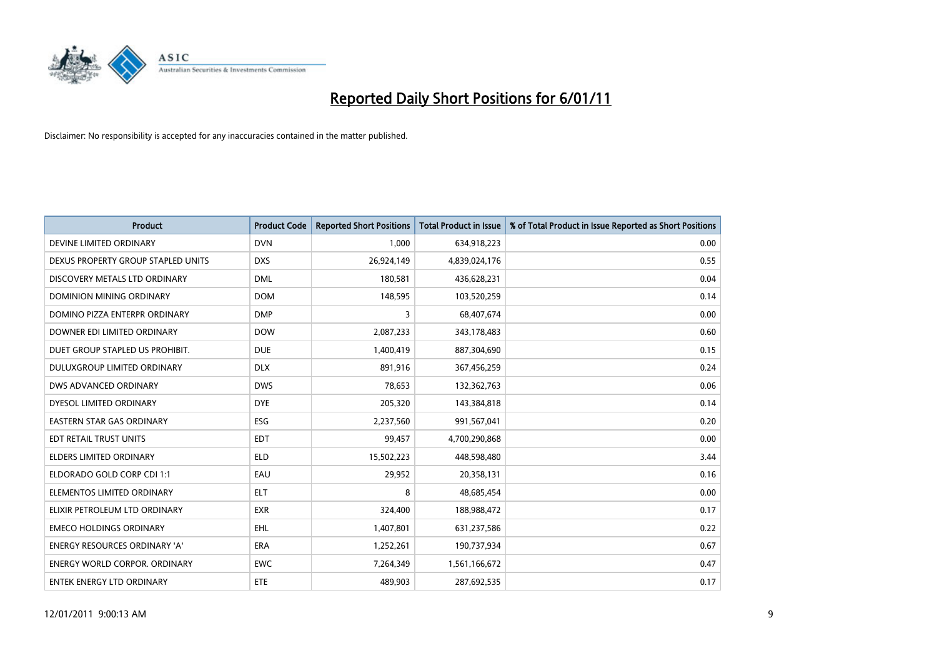

| Product                              | <b>Product Code</b> | <b>Reported Short Positions</b> | <b>Total Product in Issue</b> | % of Total Product in Issue Reported as Short Positions |
|--------------------------------------|---------------------|---------------------------------|-------------------------------|---------------------------------------------------------|
| DEVINE LIMITED ORDINARY              | <b>DVN</b>          | 1,000                           | 634,918,223                   | 0.00                                                    |
| DEXUS PROPERTY GROUP STAPLED UNITS   | <b>DXS</b>          | 26,924,149                      | 4,839,024,176                 | 0.55                                                    |
| DISCOVERY METALS LTD ORDINARY        | <b>DML</b>          | 180,581                         | 436,628,231                   | 0.04                                                    |
| DOMINION MINING ORDINARY             | <b>DOM</b>          | 148,595                         | 103,520,259                   | 0.14                                                    |
| DOMINO PIZZA ENTERPR ORDINARY        | <b>DMP</b>          | 3                               | 68,407,674                    | 0.00                                                    |
| DOWNER EDI LIMITED ORDINARY          | <b>DOW</b>          | 2,087,233                       | 343,178,483                   | 0.60                                                    |
| DUET GROUP STAPLED US PROHIBIT.      | <b>DUE</b>          | 1,400,419                       | 887,304,690                   | 0.15                                                    |
| DULUXGROUP LIMITED ORDINARY          | <b>DLX</b>          | 891,916                         | 367,456,259                   | 0.24                                                    |
| DWS ADVANCED ORDINARY                | <b>DWS</b>          | 78,653                          | 132,362,763                   | 0.06                                                    |
| DYESOL LIMITED ORDINARY              | <b>DYE</b>          | 205,320                         | 143,384,818                   | 0.14                                                    |
| <b>EASTERN STAR GAS ORDINARY</b>     | <b>ESG</b>          | 2,237,560                       | 991,567,041                   | 0.20                                                    |
| EDT RETAIL TRUST UNITS               | <b>EDT</b>          | 99,457                          | 4,700,290,868                 | 0.00                                                    |
| <b>ELDERS LIMITED ORDINARY</b>       | <b>ELD</b>          | 15,502,223                      | 448,598,480                   | 3.44                                                    |
| ELDORADO GOLD CORP CDI 1:1           | EAU                 | 29,952                          | 20,358,131                    | 0.16                                                    |
| ELEMENTOS LIMITED ORDINARY           | <b>ELT</b>          | 8                               | 48,685,454                    | 0.00                                                    |
| ELIXIR PETROLEUM LTD ORDINARY        | <b>EXR</b>          | 324,400                         | 188,988,472                   | 0.17                                                    |
| <b>EMECO HOLDINGS ORDINARY</b>       | <b>EHL</b>          | 1,407,801                       | 631,237,586                   | 0.22                                                    |
| ENERGY RESOURCES ORDINARY 'A'        | ERA                 | 1,252,261                       | 190,737,934                   | 0.67                                                    |
| <b>ENERGY WORLD CORPOR, ORDINARY</b> | <b>EWC</b>          | 7,264,349                       | 1,561,166,672                 | 0.47                                                    |
| <b>ENTEK ENERGY LTD ORDINARY</b>     | <b>ETE</b>          | 489,903                         | 287,692,535                   | 0.17                                                    |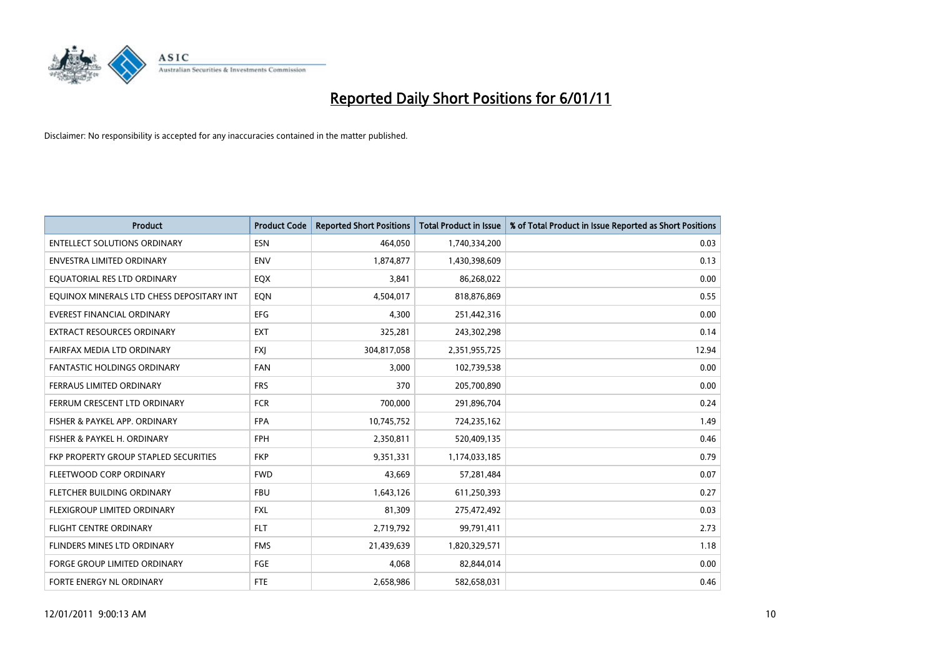

| Product                                   | <b>Product Code</b> | <b>Reported Short Positions</b> | <b>Total Product in Issue</b> | % of Total Product in Issue Reported as Short Positions |
|-------------------------------------------|---------------------|---------------------------------|-------------------------------|---------------------------------------------------------|
| <b>ENTELLECT SOLUTIONS ORDINARY</b>       | <b>ESN</b>          | 464,050                         | 1,740,334,200                 | 0.03                                                    |
| ENVESTRA LIMITED ORDINARY                 | <b>ENV</b>          | 1,874,877                       | 1,430,398,609                 | 0.13                                                    |
| EQUATORIAL RES LTD ORDINARY               | EQX                 | 3,841                           | 86,268,022                    | 0.00                                                    |
| EQUINOX MINERALS LTD CHESS DEPOSITARY INT | EQN                 | 4,504,017                       | 818,876,869                   | 0.55                                                    |
| <b>EVEREST FINANCIAL ORDINARY</b>         | EFG                 | 4,300                           | 251,442,316                   | 0.00                                                    |
| <b>EXTRACT RESOURCES ORDINARY</b>         | <b>EXT</b>          | 325,281                         | 243,302,298                   | 0.14                                                    |
| FAIRFAX MEDIA LTD ORDINARY                | <b>FXJ</b>          | 304,817,058                     | 2,351,955,725                 | 12.94                                                   |
| <b>FANTASTIC HOLDINGS ORDINARY</b>        | <b>FAN</b>          | 3,000                           | 102,739,538                   | 0.00                                                    |
| FERRAUS LIMITED ORDINARY                  | <b>FRS</b>          | 370                             | 205,700,890                   | 0.00                                                    |
| FERRUM CRESCENT LTD ORDINARY              | <b>FCR</b>          | 700,000                         | 291,896,704                   | 0.24                                                    |
| FISHER & PAYKEL APP. ORDINARY             | <b>FPA</b>          | 10,745,752                      | 724,235,162                   | 1.49                                                    |
| FISHER & PAYKEL H. ORDINARY               | FPH                 | 2,350,811                       | 520,409,135                   | 0.46                                                    |
| FKP PROPERTY GROUP STAPLED SECURITIES     | <b>FKP</b>          | 9,351,331                       | 1,174,033,185                 | 0.79                                                    |
| FLEETWOOD CORP ORDINARY                   | <b>FWD</b>          | 43,669                          | 57,281,484                    | 0.07                                                    |
| FLETCHER BUILDING ORDINARY                | <b>FBU</b>          | 1,643,126                       | 611,250,393                   | 0.27                                                    |
| FLEXIGROUP LIMITED ORDINARY               | <b>FXL</b>          | 81,309                          | 275,472,492                   | 0.03                                                    |
| <b>FLIGHT CENTRE ORDINARY</b>             | <b>FLT</b>          | 2,719,792                       | 99,791,411                    | 2.73                                                    |
| FLINDERS MINES LTD ORDINARY               | <b>FMS</b>          | 21,439,639                      | 1,820,329,571                 | 1.18                                                    |
| <b>FORGE GROUP LIMITED ORDINARY</b>       | FGE                 | 4,068                           | 82,844,014                    | 0.00                                                    |
| FORTE ENERGY NL ORDINARY                  | <b>FTE</b>          | 2,658,986                       | 582,658,031                   | 0.46                                                    |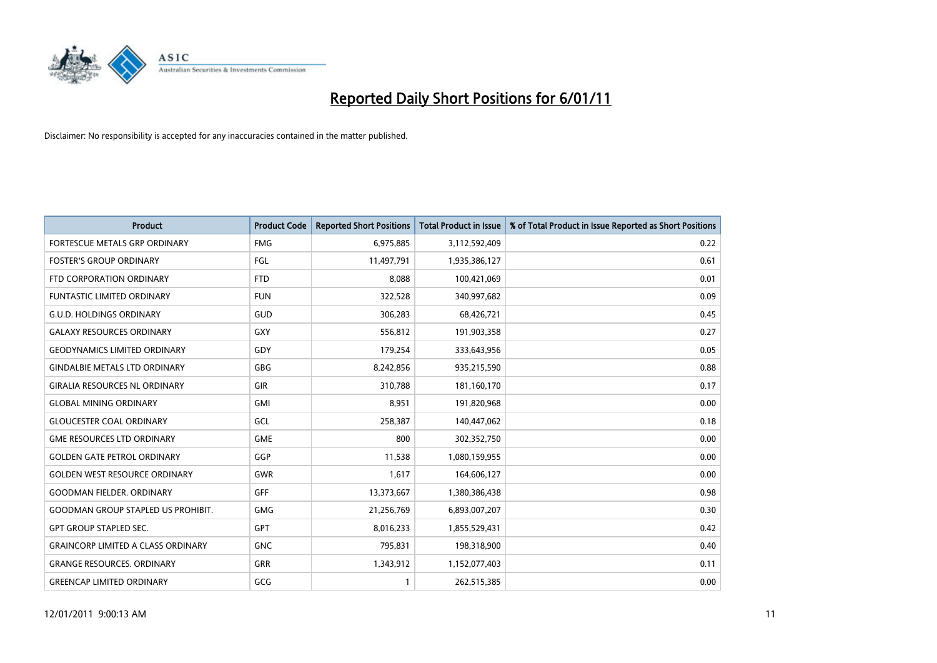

| Product                                   | <b>Product Code</b> | <b>Reported Short Positions</b> | <b>Total Product in Issue</b> | % of Total Product in Issue Reported as Short Positions |
|-------------------------------------------|---------------------|---------------------------------|-------------------------------|---------------------------------------------------------|
| FORTESCUE METALS GRP ORDINARY             | <b>FMG</b>          | 6,975,885                       | 3,112,592,409                 | 0.22                                                    |
| <b>FOSTER'S GROUP ORDINARY</b>            | FGL                 | 11,497,791                      | 1,935,386,127                 | 0.61                                                    |
| FTD CORPORATION ORDINARY                  | <b>FTD</b>          | 8,088                           | 100,421,069                   | 0.01                                                    |
| <b>FUNTASTIC LIMITED ORDINARY</b>         | <b>FUN</b>          | 322,528                         | 340,997,682                   | 0.09                                                    |
| <b>G.U.D. HOLDINGS ORDINARY</b>           | GUD                 | 306,283                         | 68,426,721                    | 0.45                                                    |
| <b>GALAXY RESOURCES ORDINARY</b>          | <b>GXY</b>          | 556,812                         | 191,903,358                   | 0.27                                                    |
| <b>GEODYNAMICS LIMITED ORDINARY</b>       | GDY                 | 179,254                         | 333,643,956                   | 0.05                                                    |
| <b>GINDALBIE METALS LTD ORDINARY</b>      | <b>GBG</b>          | 8,242,856                       | 935,215,590                   | 0.88                                                    |
| <b>GIRALIA RESOURCES NL ORDINARY</b>      | <b>GIR</b>          | 310,788                         | 181,160,170                   | 0.17                                                    |
| <b>GLOBAL MINING ORDINARY</b>             | <b>GMI</b>          | 8,951                           | 191,820,968                   | 0.00                                                    |
| <b>GLOUCESTER COAL ORDINARY</b>           | GCL                 | 258,387                         | 140,447,062                   | 0.18                                                    |
| <b>GME RESOURCES LTD ORDINARY</b>         | <b>GME</b>          | 800                             | 302,352,750                   | 0.00                                                    |
| <b>GOLDEN GATE PETROL ORDINARY</b>        | GGP                 | 11,538                          | 1,080,159,955                 | 0.00                                                    |
| <b>GOLDEN WEST RESOURCE ORDINARY</b>      | <b>GWR</b>          | 1,617                           | 164,606,127                   | 0.00                                                    |
| <b>GOODMAN FIELDER, ORDINARY</b>          | <b>GFF</b>          | 13,373,667                      | 1,380,386,438                 | 0.98                                                    |
| <b>GOODMAN GROUP STAPLED US PROHIBIT.</b> | GMG                 | 21,256,769                      | 6,893,007,207                 | 0.30                                                    |
| <b>GPT GROUP STAPLED SEC.</b>             | GPT                 | 8,016,233                       | 1,855,529,431                 | 0.42                                                    |
| <b>GRAINCORP LIMITED A CLASS ORDINARY</b> | <b>GNC</b>          | 795,831                         | 198,318,900                   | 0.40                                                    |
| <b>GRANGE RESOURCES, ORDINARY</b>         | GRR                 | 1,343,912                       | 1,152,077,403                 | 0.11                                                    |
| <b>GREENCAP LIMITED ORDINARY</b>          | GCG                 | 1                               | 262,515,385                   | 0.00                                                    |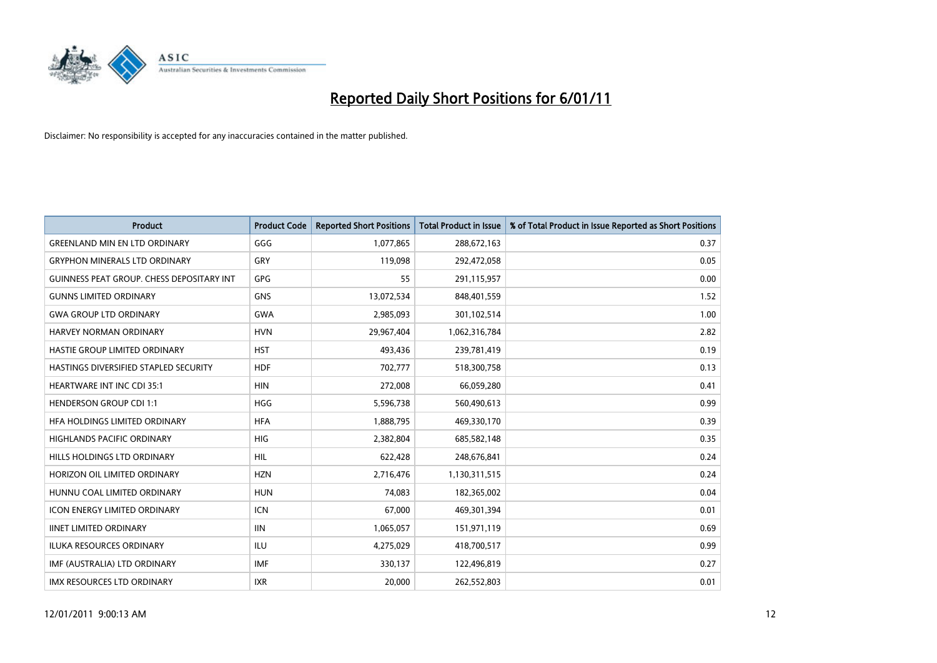

| Product                                          | <b>Product Code</b> | <b>Reported Short Positions</b> | <b>Total Product in Issue</b> | % of Total Product in Issue Reported as Short Positions |
|--------------------------------------------------|---------------------|---------------------------------|-------------------------------|---------------------------------------------------------|
| <b>GREENLAND MIN EN LTD ORDINARY</b>             | GGG                 | 1,077,865                       | 288,672,163                   | 0.37                                                    |
| <b>GRYPHON MINERALS LTD ORDINARY</b>             | GRY                 | 119,098                         | 292,472,058                   | 0.05                                                    |
| <b>GUINNESS PEAT GROUP. CHESS DEPOSITARY INT</b> | <b>GPG</b>          | 55                              | 291,115,957                   | 0.00                                                    |
| <b>GUNNS LIMITED ORDINARY</b>                    | <b>GNS</b>          | 13,072,534                      | 848,401,559                   | 1.52                                                    |
| <b>GWA GROUP LTD ORDINARY</b>                    | <b>GWA</b>          | 2,985,093                       | 301,102,514                   | 1.00                                                    |
| HARVEY NORMAN ORDINARY                           | <b>HVN</b>          | 29,967,404                      | 1,062,316,784                 | 2.82                                                    |
| HASTIE GROUP LIMITED ORDINARY                    | <b>HST</b>          | 493,436                         | 239,781,419                   | 0.19                                                    |
| HASTINGS DIVERSIFIED STAPLED SECURITY            | <b>HDF</b>          | 702,777                         | 518,300,758                   | 0.13                                                    |
| HEARTWARE INT INC CDI 35:1                       | <b>HIN</b>          | 272,008                         | 66,059,280                    | 0.41                                                    |
| <b>HENDERSON GROUP CDI 1:1</b>                   | <b>HGG</b>          | 5,596,738                       | 560,490,613                   | 0.99                                                    |
| HFA HOLDINGS LIMITED ORDINARY                    | <b>HFA</b>          | 1,888,795                       | 469,330,170                   | 0.39                                                    |
| <b>HIGHLANDS PACIFIC ORDINARY</b>                | <b>HIG</b>          | 2,382,804                       | 685,582,148                   | 0.35                                                    |
| HILLS HOLDINGS LTD ORDINARY                      | <b>HIL</b>          | 622,428                         | 248,676,841                   | 0.24                                                    |
| HORIZON OIL LIMITED ORDINARY                     | <b>HZN</b>          | 2,716,476                       | 1,130,311,515                 | 0.24                                                    |
| HUNNU COAL LIMITED ORDINARY                      | <b>HUN</b>          | 74,083                          | 182,365,002                   | 0.04                                                    |
| <b>ICON ENERGY LIMITED ORDINARY</b>              | <b>ICN</b>          | 67,000                          | 469,301,394                   | 0.01                                                    |
| <b>IINET LIMITED ORDINARY</b>                    | <b>IIN</b>          | 1,065,057                       | 151,971,119                   | 0.69                                                    |
| ILUKA RESOURCES ORDINARY                         | ILU                 | 4,275,029                       | 418,700,517                   | 0.99                                                    |
| IMF (AUSTRALIA) LTD ORDINARY                     | <b>IMF</b>          | 330,137                         | 122,496,819                   | 0.27                                                    |
| <b>IMX RESOURCES LTD ORDINARY</b>                | <b>IXR</b>          | 20.000                          | 262,552,803                   | 0.01                                                    |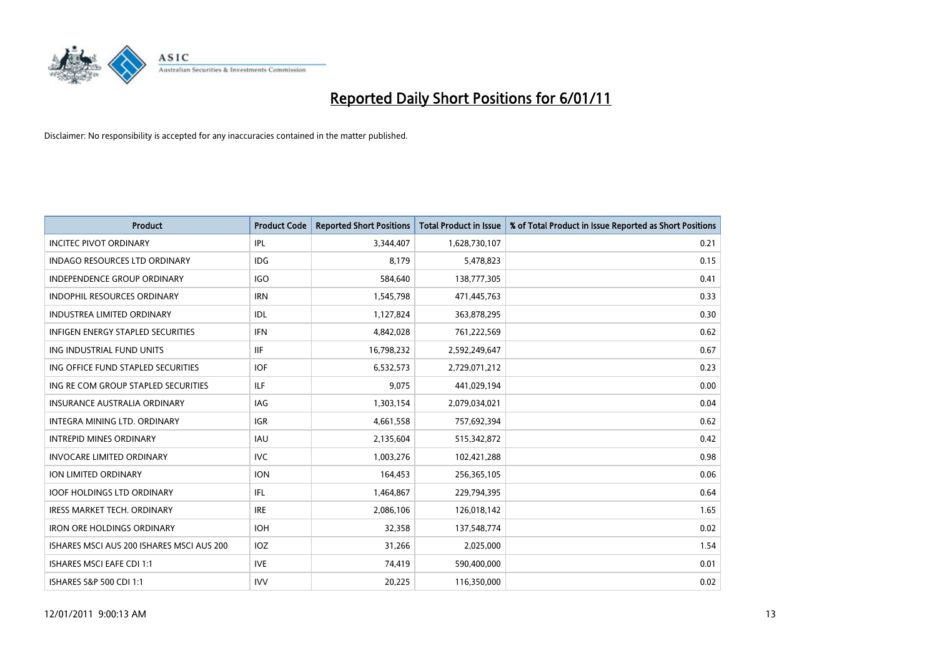

| Product                                   | <b>Product Code</b> | <b>Reported Short Positions</b> | <b>Total Product in Issue</b> | % of Total Product in Issue Reported as Short Positions |
|-------------------------------------------|---------------------|---------------------------------|-------------------------------|---------------------------------------------------------|
| <b>INCITEC PIVOT ORDINARY</b>             | IPL                 | 3,344,407                       | 1,628,730,107                 | 0.21                                                    |
| <b>INDAGO RESOURCES LTD ORDINARY</b>      | <b>IDG</b>          | 8,179                           | 5,478,823                     | 0.15                                                    |
| INDEPENDENCE GROUP ORDINARY               | <b>IGO</b>          | 584,640                         | 138,777,305                   | 0.41                                                    |
| <b>INDOPHIL RESOURCES ORDINARY</b>        | <b>IRN</b>          | 1,545,798                       | 471,445,763                   | 0.33                                                    |
| <b>INDUSTREA LIMITED ORDINARY</b>         | IDL                 | 1,127,824                       | 363,878,295                   | 0.30                                                    |
| INFIGEN ENERGY STAPLED SECURITIES         | <b>IFN</b>          | 4,842,028                       | 761,222,569                   | 0.62                                                    |
| ING INDUSTRIAL FUND UNITS                 | <b>IIF</b>          | 16,798,232                      | 2,592,249,647                 | 0.67                                                    |
| ING OFFICE FUND STAPLED SECURITIES        | <b>IOF</b>          | 6,532,573                       | 2,729,071,212                 | 0.23                                                    |
| ING RE COM GROUP STAPLED SECURITIES       | <b>ILF</b>          | 9,075                           | 441,029,194                   | 0.00                                                    |
| <b>INSURANCE AUSTRALIA ORDINARY</b>       | <b>IAG</b>          | 1,303,154                       | 2,079,034,021                 | 0.04                                                    |
| INTEGRA MINING LTD, ORDINARY              | <b>IGR</b>          | 4,661,558                       | 757,692,394                   | 0.62                                                    |
| <b>INTREPID MINES ORDINARY</b>            | IAU                 | 2,135,604                       | 515,342,872                   | 0.42                                                    |
| <b>INVOCARE LIMITED ORDINARY</b>          | <b>IVC</b>          | 1,003,276                       | 102,421,288                   | 0.98                                                    |
| <b>ION LIMITED ORDINARY</b>               | <b>ION</b>          | 164,453                         | 256,365,105                   | 0.06                                                    |
| <b>IOOF HOLDINGS LTD ORDINARY</b>         | IFL.                | 1,464,867                       | 229,794,395                   | 0.64                                                    |
| <b>IRESS MARKET TECH. ORDINARY</b>        | <b>IRE</b>          | 2,086,106                       | 126,018,142                   | 1.65                                                    |
| <b>IRON ORE HOLDINGS ORDINARY</b>         | <b>IOH</b>          | 32,358                          | 137,548,774                   | 0.02                                                    |
| ISHARES MSCI AUS 200 ISHARES MSCI AUS 200 | <b>IOZ</b>          | 31,266                          | 2,025,000                     | 1.54                                                    |
| <b>ISHARES MSCI EAFE CDI 1:1</b>          | <b>IVE</b>          | 74,419                          | 590,400,000                   | 0.01                                                    |
| <b>ISHARES S&amp;P 500 CDI 1:1</b>        | <b>IVV</b>          | 20,225                          | 116,350,000                   | 0.02                                                    |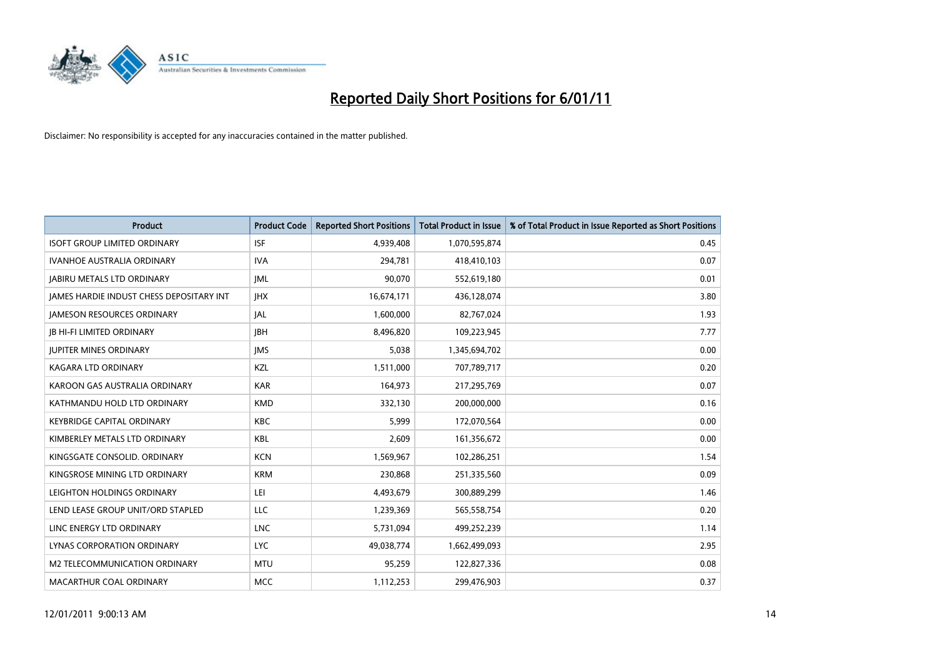

| Product                                  | <b>Product Code</b> | <b>Reported Short Positions</b> | <b>Total Product in Issue</b> | % of Total Product in Issue Reported as Short Positions |
|------------------------------------------|---------------------|---------------------------------|-------------------------------|---------------------------------------------------------|
| <b>ISOFT GROUP LIMITED ORDINARY</b>      | <b>ISF</b>          | 4,939,408                       | 1,070,595,874                 | 0.45                                                    |
| <b>IVANHOE AUSTRALIA ORDINARY</b>        | <b>IVA</b>          | 294,781                         | 418,410,103                   | 0.07                                                    |
| <b>JABIRU METALS LTD ORDINARY</b>        | <b>JML</b>          | 90,070                          | 552,619,180                   | 0.01                                                    |
| JAMES HARDIE INDUST CHESS DEPOSITARY INT | <b>IHX</b>          | 16,674,171                      | 436,128,074                   | 3.80                                                    |
| <b>IAMESON RESOURCES ORDINARY</b>        | <b>JAL</b>          | 1,600,000                       | 82,767,024                    | 1.93                                                    |
| <b>JB HI-FI LIMITED ORDINARY</b>         | <b>IBH</b>          | 8,496,820                       | 109,223,945                   | 7.77                                                    |
| <b>JUPITER MINES ORDINARY</b>            | <b>IMS</b>          | 5.038                           | 1,345,694,702                 | 0.00                                                    |
| <b>KAGARA LTD ORDINARY</b>               | <b>KZL</b>          | 1,511,000                       | 707,789,717                   | 0.20                                                    |
| KAROON GAS AUSTRALIA ORDINARY            | <b>KAR</b>          | 164,973                         | 217,295,769                   | 0.07                                                    |
| KATHMANDU HOLD LTD ORDINARY              | <b>KMD</b>          | 332,130                         | 200,000,000                   | 0.16                                                    |
| <b>KEYBRIDGE CAPITAL ORDINARY</b>        | <b>KBC</b>          | 5,999                           | 172,070,564                   | 0.00                                                    |
| KIMBERLEY METALS LTD ORDINARY            | KBL                 | 2,609                           | 161,356,672                   | 0.00                                                    |
| KINGSGATE CONSOLID. ORDINARY             | <b>KCN</b>          | 1,569,967                       | 102,286,251                   | 1.54                                                    |
| KINGSROSE MINING LTD ORDINARY            | <b>KRM</b>          | 230,868                         | 251,335,560                   | 0.09                                                    |
| LEIGHTON HOLDINGS ORDINARY               | LEI                 | 4,493,679                       | 300,889,299                   | 1.46                                                    |
| LEND LEASE GROUP UNIT/ORD STAPLED        | <b>LLC</b>          | 1,239,369                       | 565,558,754                   | 0.20                                                    |
| LINC ENERGY LTD ORDINARY                 | LNC                 | 5,731,094                       | 499,252,239                   | 1.14                                                    |
| LYNAS CORPORATION ORDINARY               | <b>LYC</b>          | 49,038,774                      | 1,662,499,093                 | 2.95                                                    |
| M2 TELECOMMUNICATION ORDINARY            | <b>MTU</b>          | 95,259                          | 122,827,336                   | 0.08                                                    |
| MACARTHUR COAL ORDINARY                  | <b>MCC</b>          | 1,112,253                       | 299,476,903                   | 0.37                                                    |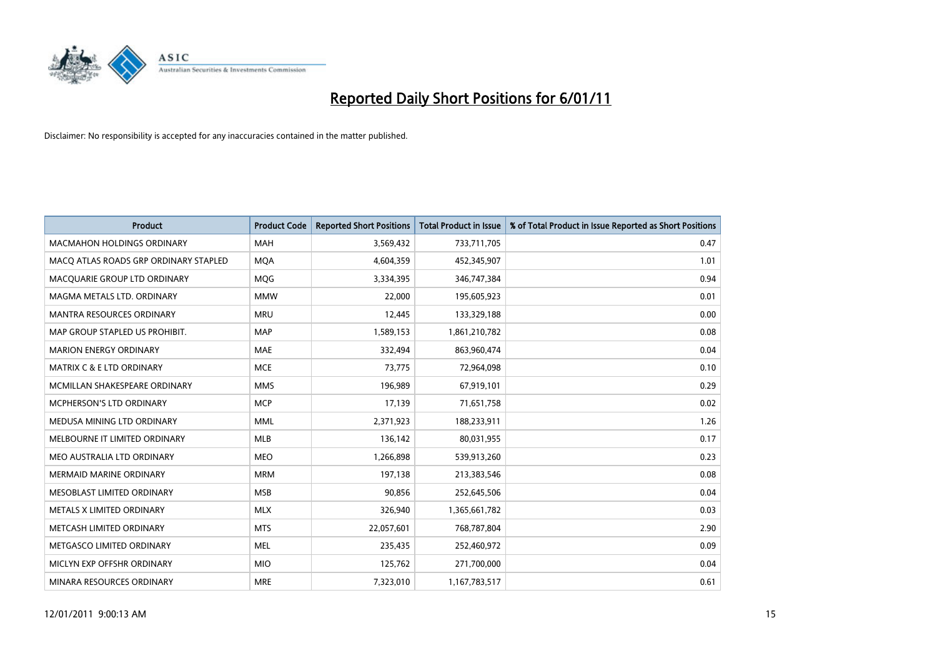

| Product                               | <b>Product Code</b> | <b>Reported Short Positions</b> | <b>Total Product in Issue</b> | % of Total Product in Issue Reported as Short Positions |
|---------------------------------------|---------------------|---------------------------------|-------------------------------|---------------------------------------------------------|
| <b>MACMAHON HOLDINGS ORDINARY</b>     | <b>MAH</b>          | 3,569,432                       | 733,711,705                   | 0.47                                                    |
| MACO ATLAS ROADS GRP ORDINARY STAPLED | <b>MQA</b>          | 4,604,359                       | 452,345,907                   | 1.01                                                    |
| MACQUARIE GROUP LTD ORDINARY          | MQG                 | 3,334,395                       | 346,747,384                   | 0.94                                                    |
| MAGMA METALS LTD. ORDINARY            | <b>MMW</b>          | 22,000                          | 195,605,923                   | 0.01                                                    |
| <b>MANTRA RESOURCES ORDINARY</b>      | <b>MRU</b>          | 12,445                          | 133,329,188                   | 0.00                                                    |
| MAP GROUP STAPLED US PROHIBIT.        | <b>MAP</b>          | 1,589,153                       | 1,861,210,782                 | 0.08                                                    |
| <b>MARION ENERGY ORDINARY</b>         | <b>MAE</b>          | 332,494                         | 863,960,474                   | 0.04                                                    |
| <b>MATRIX C &amp; E LTD ORDINARY</b>  | <b>MCE</b>          | 73,775                          | 72,964,098                    | 0.10                                                    |
| MCMILLAN SHAKESPEARE ORDINARY         | <b>MMS</b>          | 196,989                         | 67,919,101                    | 0.29                                                    |
| MCPHERSON'S LTD ORDINARY              | <b>MCP</b>          | 17,139                          | 71,651,758                    | 0.02                                                    |
| MEDUSA MINING LTD ORDINARY            | MML                 | 2,371,923                       | 188,233,911                   | 1.26                                                    |
| MELBOURNE IT LIMITED ORDINARY         | <b>MLB</b>          | 136,142                         | 80,031,955                    | 0.17                                                    |
| MEO AUSTRALIA LTD ORDINARY            | <b>MEO</b>          | 1,266,898                       | 539,913,260                   | 0.23                                                    |
| <b>MERMAID MARINE ORDINARY</b>        | <b>MRM</b>          | 197,138                         | 213,383,546                   | 0.08                                                    |
| MESOBLAST LIMITED ORDINARY            | <b>MSB</b>          | 90,856                          | 252,645,506                   | 0.04                                                    |
| METALS X LIMITED ORDINARY             | <b>MLX</b>          | 326,940                         | 1,365,661,782                 | 0.03                                                    |
| METCASH LIMITED ORDINARY              | <b>MTS</b>          | 22,057,601                      | 768,787,804                   | 2.90                                                    |
| METGASCO LIMITED ORDINARY             | <b>MEL</b>          | 235,435                         | 252,460,972                   | 0.09                                                    |
| MICLYN EXP OFFSHR ORDINARY            | <b>MIO</b>          | 125,762                         | 271,700,000                   | 0.04                                                    |
| MINARA RESOURCES ORDINARY             | <b>MRE</b>          | 7,323,010                       | 1,167,783,517                 | 0.61                                                    |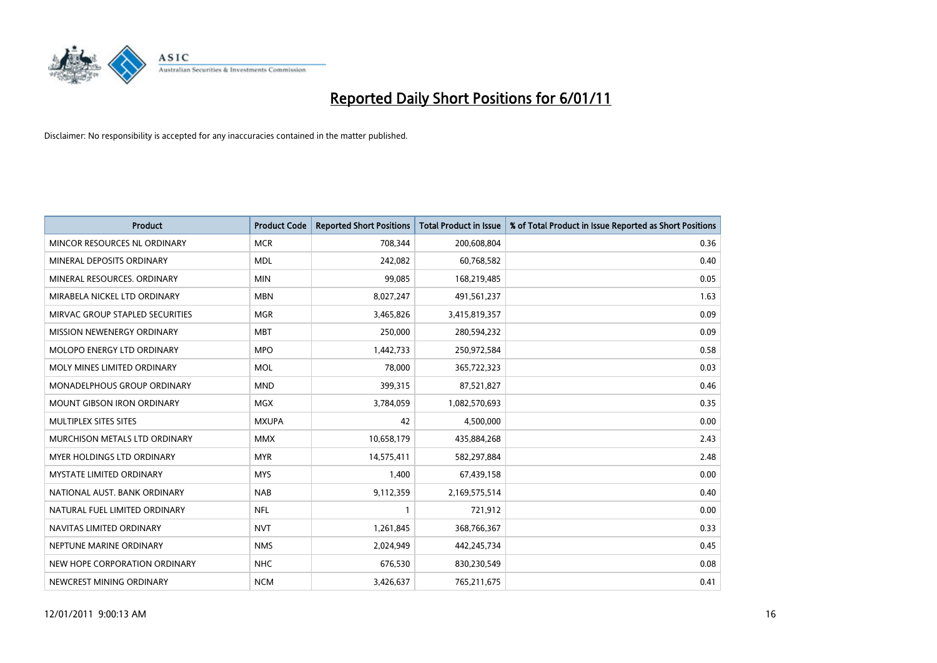

| Product                           | <b>Product Code</b> | <b>Reported Short Positions</b> | <b>Total Product in Issue</b> | % of Total Product in Issue Reported as Short Positions |
|-----------------------------------|---------------------|---------------------------------|-------------------------------|---------------------------------------------------------|
| MINCOR RESOURCES NL ORDINARY      | <b>MCR</b>          | 708,344                         | 200,608,804                   | 0.36                                                    |
| MINERAL DEPOSITS ORDINARY         | <b>MDL</b>          | 242,082                         | 60,768,582                    | 0.40                                                    |
| MINERAL RESOURCES, ORDINARY       | <b>MIN</b>          | 99,085                          | 168,219,485                   | 0.05                                                    |
| MIRABELA NICKEL LTD ORDINARY      | <b>MBN</b>          | 8,027,247                       | 491,561,237                   | 1.63                                                    |
| MIRVAC GROUP STAPLED SECURITIES   | <b>MGR</b>          | 3,465,826                       | 3,415,819,357                 | 0.09                                                    |
| MISSION NEWENERGY ORDINARY        | <b>MBT</b>          | 250,000                         | 280,594,232                   | 0.09                                                    |
| MOLOPO ENERGY LTD ORDINARY        | <b>MPO</b>          | 1,442,733                       | 250,972,584                   | 0.58                                                    |
| MOLY MINES LIMITED ORDINARY       | <b>MOL</b>          | 78,000                          | 365,722,323                   | 0.03                                                    |
| MONADELPHOUS GROUP ORDINARY       | <b>MND</b>          | 399,315                         | 87,521,827                    | 0.46                                                    |
| <b>MOUNT GIBSON IRON ORDINARY</b> | <b>MGX</b>          | 3,784,059                       | 1,082,570,693                 | 0.35                                                    |
| MULTIPLEX SITES SITES             | <b>MXUPA</b>        | 42                              | 4,500,000                     | 0.00                                                    |
| MURCHISON METALS LTD ORDINARY     | <b>MMX</b>          | 10,658,179                      | 435,884,268                   | 2.43                                                    |
| MYER HOLDINGS LTD ORDINARY        | <b>MYR</b>          | 14,575,411                      | 582,297,884                   | 2.48                                                    |
| <b>MYSTATE LIMITED ORDINARY</b>   | <b>MYS</b>          | 1,400                           | 67,439,158                    | 0.00                                                    |
| NATIONAL AUST, BANK ORDINARY      | <b>NAB</b>          | 9,112,359                       | 2,169,575,514                 | 0.40                                                    |
| NATURAL FUEL LIMITED ORDINARY     | <b>NFL</b>          |                                 | 721,912                       | 0.00                                                    |
| NAVITAS LIMITED ORDINARY          | <b>NVT</b>          | 1,261,845                       | 368,766,367                   | 0.33                                                    |
| NEPTUNE MARINE ORDINARY           | <b>NMS</b>          | 2,024,949                       | 442,245,734                   | 0.45                                                    |
| NEW HOPE CORPORATION ORDINARY     | <b>NHC</b>          | 676,530                         | 830,230,549                   | 0.08                                                    |
| NEWCREST MINING ORDINARY          | <b>NCM</b>          | 3,426,637                       | 765,211,675                   | 0.41                                                    |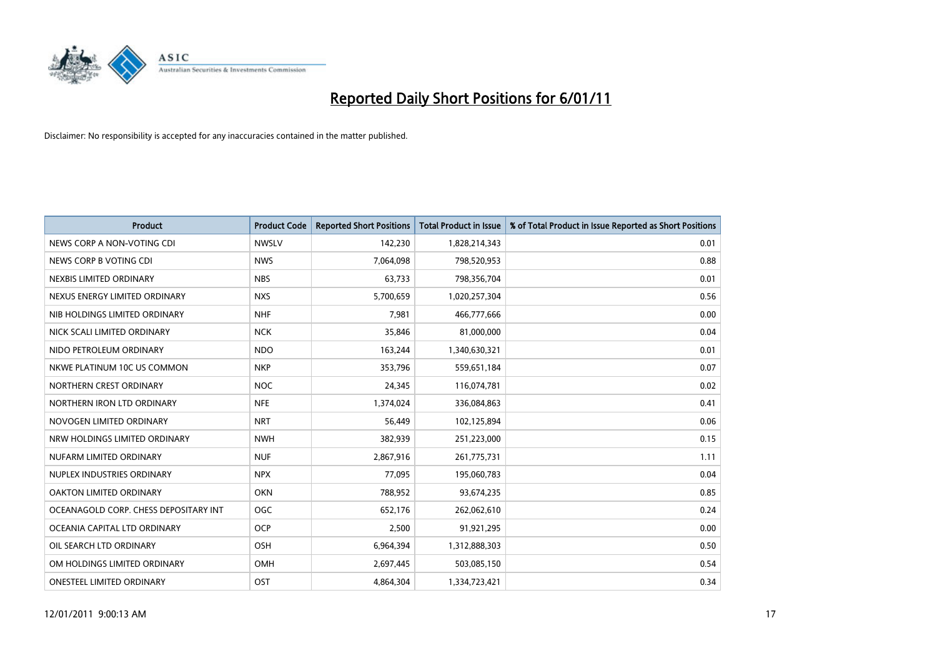

| Product                               | <b>Product Code</b> | <b>Reported Short Positions</b> | <b>Total Product in Issue</b> | % of Total Product in Issue Reported as Short Positions |
|---------------------------------------|---------------------|---------------------------------|-------------------------------|---------------------------------------------------------|
| NEWS CORP A NON-VOTING CDI            | <b>NWSLV</b>        | 142,230                         | 1,828,214,343                 | 0.01                                                    |
| NEWS CORP B VOTING CDI                | <b>NWS</b>          | 7,064,098                       | 798,520,953                   | 0.88                                                    |
| NEXBIS LIMITED ORDINARY               | <b>NBS</b>          | 63,733                          | 798,356,704                   | 0.01                                                    |
| NEXUS ENERGY LIMITED ORDINARY         | <b>NXS</b>          | 5,700,659                       | 1,020,257,304                 | 0.56                                                    |
| NIB HOLDINGS LIMITED ORDINARY         | <b>NHF</b>          | 7,981                           | 466,777,666                   | 0.00                                                    |
| NICK SCALI LIMITED ORDINARY           | <b>NCK</b>          | 35,846                          | 81,000,000                    | 0.04                                                    |
| NIDO PETROLEUM ORDINARY               | <b>NDO</b>          | 163,244                         | 1,340,630,321                 | 0.01                                                    |
| NKWE PLATINUM 10C US COMMON           | <b>NKP</b>          | 353,796                         | 559,651,184                   | 0.07                                                    |
| NORTHERN CREST ORDINARY               | <b>NOC</b>          | 24,345                          | 116,074,781                   | 0.02                                                    |
| NORTHERN IRON LTD ORDINARY            | <b>NFE</b>          | 1,374,024                       | 336,084,863                   | 0.41                                                    |
| NOVOGEN LIMITED ORDINARY              | <b>NRT</b>          | 56,449                          | 102,125,894                   | 0.06                                                    |
| NRW HOLDINGS LIMITED ORDINARY         | <b>NWH</b>          | 382,939                         | 251,223,000                   | 0.15                                                    |
| NUFARM LIMITED ORDINARY               | <b>NUF</b>          | 2,867,916                       | 261,775,731                   | 1.11                                                    |
| NUPLEX INDUSTRIES ORDINARY            | <b>NPX</b>          | 77,095                          | 195,060,783                   | 0.04                                                    |
| OAKTON LIMITED ORDINARY               | <b>OKN</b>          | 788,952                         | 93,674,235                    | 0.85                                                    |
| OCEANAGOLD CORP. CHESS DEPOSITARY INT | OGC                 | 652,176                         | 262,062,610                   | 0.24                                                    |
| OCEANIA CAPITAL LTD ORDINARY          | <b>OCP</b>          | 2,500                           | 91,921,295                    | 0.00                                                    |
| OIL SEARCH LTD ORDINARY               | <b>OSH</b>          | 6,964,394                       | 1,312,888,303                 | 0.50                                                    |
| OM HOLDINGS LIMITED ORDINARY          | OMH                 | 2,697,445                       | 503,085,150                   | 0.54                                                    |
| ONESTEEL LIMITED ORDINARY             | OST                 | 4,864,304                       | 1,334,723,421                 | 0.34                                                    |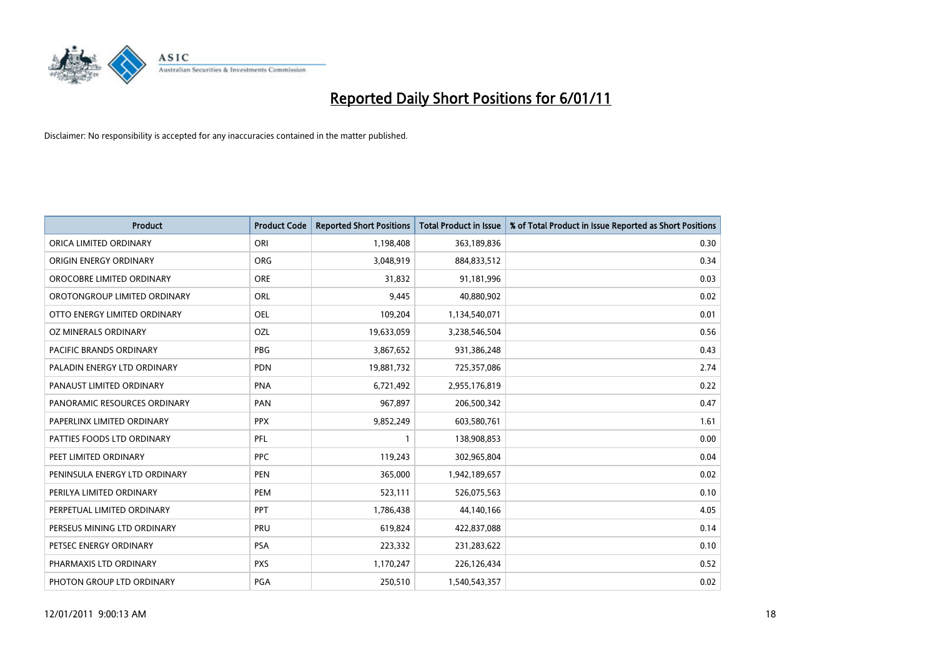

| Product                        | <b>Product Code</b> | <b>Reported Short Positions</b> | <b>Total Product in Issue</b> | % of Total Product in Issue Reported as Short Positions |
|--------------------------------|---------------------|---------------------------------|-------------------------------|---------------------------------------------------------|
| ORICA LIMITED ORDINARY         | ORI                 | 1,198,408                       | 363,189,836                   | 0.30                                                    |
| ORIGIN ENERGY ORDINARY         | <b>ORG</b>          | 3,048,919                       | 884,833,512                   | 0.34                                                    |
| OROCOBRE LIMITED ORDINARY      | <b>ORE</b>          | 31,832                          | 91,181,996                    | 0.03                                                    |
| OROTONGROUP LIMITED ORDINARY   | <b>ORL</b>          | 9,445                           | 40,880,902                    | 0.02                                                    |
| OTTO ENERGY LIMITED ORDINARY   | OEL                 | 109,204                         | 1,134,540,071                 | 0.01                                                    |
| OZ MINERALS ORDINARY           | OZL                 | 19,633,059                      | 3,238,546,504                 | 0.56                                                    |
| <b>PACIFIC BRANDS ORDINARY</b> | <b>PBG</b>          | 3,867,652                       | 931,386,248                   | 0.43                                                    |
| PALADIN ENERGY LTD ORDINARY    | <b>PDN</b>          | 19,881,732                      | 725,357,086                   | 2.74                                                    |
| PANAUST LIMITED ORDINARY       | <b>PNA</b>          | 6,721,492                       | 2,955,176,819                 | 0.22                                                    |
| PANORAMIC RESOURCES ORDINARY   | PAN                 | 967,897                         | 206,500,342                   | 0.47                                                    |
| PAPERLINX LIMITED ORDINARY     | <b>PPX</b>          | 9,852,249                       | 603,580,761                   | 1.61                                                    |
| PATTIES FOODS LTD ORDINARY     | <b>PFL</b>          | 1                               | 138,908,853                   | 0.00                                                    |
| PEET LIMITED ORDINARY          | <b>PPC</b>          | 119,243                         | 302,965,804                   | 0.04                                                    |
| PENINSULA ENERGY LTD ORDINARY  | <b>PEN</b>          | 365,000                         | 1,942,189,657                 | 0.02                                                    |
| PERILYA LIMITED ORDINARY       | PEM                 | 523,111                         | 526,075,563                   | 0.10                                                    |
| PERPETUAL LIMITED ORDINARY     | PPT                 | 1,786,438                       | 44,140,166                    | 4.05                                                    |
| PERSEUS MINING LTD ORDINARY    | PRU                 | 619,824                         | 422,837,088                   | 0.14                                                    |
| PETSEC ENERGY ORDINARY         | <b>PSA</b>          | 223,332                         | 231,283,622                   | 0.10                                                    |
| PHARMAXIS LTD ORDINARY         | <b>PXS</b>          | 1,170,247                       | 226,126,434                   | 0.52                                                    |
| PHOTON GROUP LTD ORDINARY      | PGA                 | 250,510                         | 1,540,543,357                 | 0.02                                                    |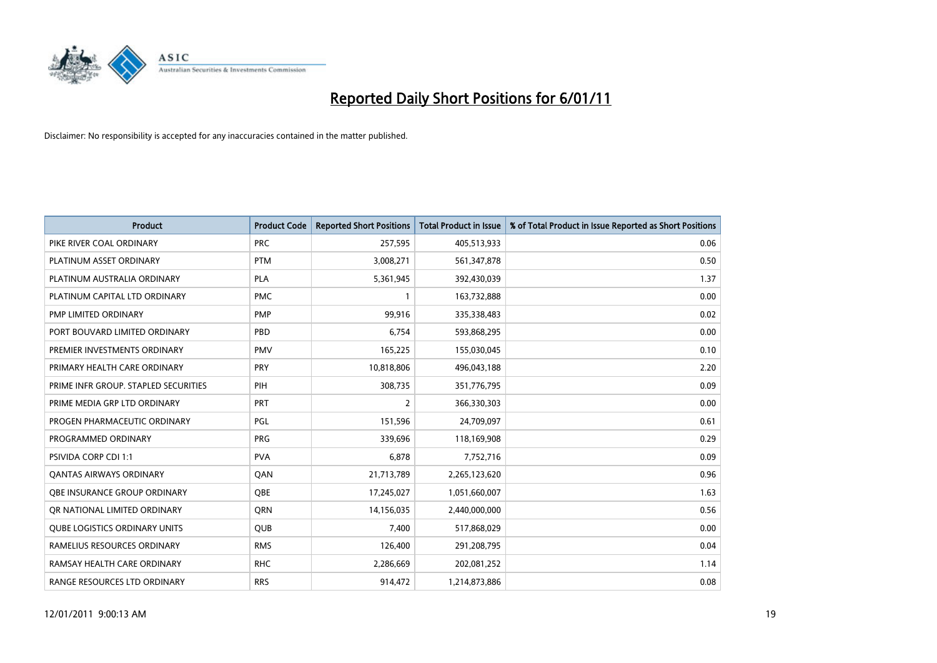

| <b>Product</b>                       | <b>Product Code</b> | <b>Reported Short Positions</b> | <b>Total Product in Issue</b> | % of Total Product in Issue Reported as Short Positions |
|--------------------------------------|---------------------|---------------------------------|-------------------------------|---------------------------------------------------------|
| PIKE RIVER COAL ORDINARY             | <b>PRC</b>          | 257,595                         | 405,513,933                   | 0.06                                                    |
| PLATINUM ASSET ORDINARY              | <b>PTM</b>          | 3,008,271                       | 561,347,878                   | 0.50                                                    |
| PLATINUM AUSTRALIA ORDINARY          | <b>PLA</b>          | 5,361,945                       | 392,430,039                   | 1.37                                                    |
| PLATINUM CAPITAL LTD ORDINARY        | <b>PMC</b>          | $\mathbf{1}$                    | 163,732,888                   | 0.00                                                    |
| PMP LIMITED ORDINARY                 | <b>PMP</b>          | 99,916                          | 335,338,483                   | 0.02                                                    |
| PORT BOUVARD LIMITED ORDINARY        | PBD                 | 6,754                           | 593,868,295                   | 0.00                                                    |
| PREMIER INVESTMENTS ORDINARY         | <b>PMV</b>          | 165,225                         | 155,030,045                   | 0.10                                                    |
| PRIMARY HEALTH CARE ORDINARY         | PRY                 | 10,818,806                      | 496,043,188                   | 2.20                                                    |
| PRIME INFR GROUP. STAPLED SECURITIES | PIH                 | 308,735                         | 351,776,795                   | 0.09                                                    |
| PRIME MEDIA GRP LTD ORDINARY         | PRT                 | 2                               | 366,330,303                   | 0.00                                                    |
| PROGEN PHARMACEUTIC ORDINARY         | PGL                 | 151,596                         | 24,709,097                    | 0.61                                                    |
| PROGRAMMED ORDINARY                  | <b>PRG</b>          | 339,696                         | 118,169,908                   | 0.29                                                    |
| PSIVIDA CORP CDI 1:1                 | <b>PVA</b>          | 6,878                           | 7,752,716                     | 0.09                                                    |
| <b>QANTAS AIRWAYS ORDINARY</b>       | QAN                 | 21,713,789                      | 2,265,123,620                 | 0.96                                                    |
| OBE INSURANCE GROUP ORDINARY         | <b>OBE</b>          | 17,245,027                      | 1,051,660,007                 | 1.63                                                    |
| OR NATIONAL LIMITED ORDINARY         | <b>ORN</b>          | 14,156,035                      | 2,440,000,000                 | 0.56                                                    |
| <b>QUBE LOGISTICS ORDINARY UNITS</b> | QUB                 | 7,400                           | 517,868,029                   | 0.00                                                    |
| RAMELIUS RESOURCES ORDINARY          | <b>RMS</b>          | 126,400                         | 291,208,795                   | 0.04                                                    |
| RAMSAY HEALTH CARE ORDINARY          | <b>RHC</b>          | 2,286,669                       | 202,081,252                   | 1.14                                                    |
| RANGE RESOURCES LTD ORDINARY         | <b>RRS</b>          | 914,472                         | 1,214,873,886                 | 0.08                                                    |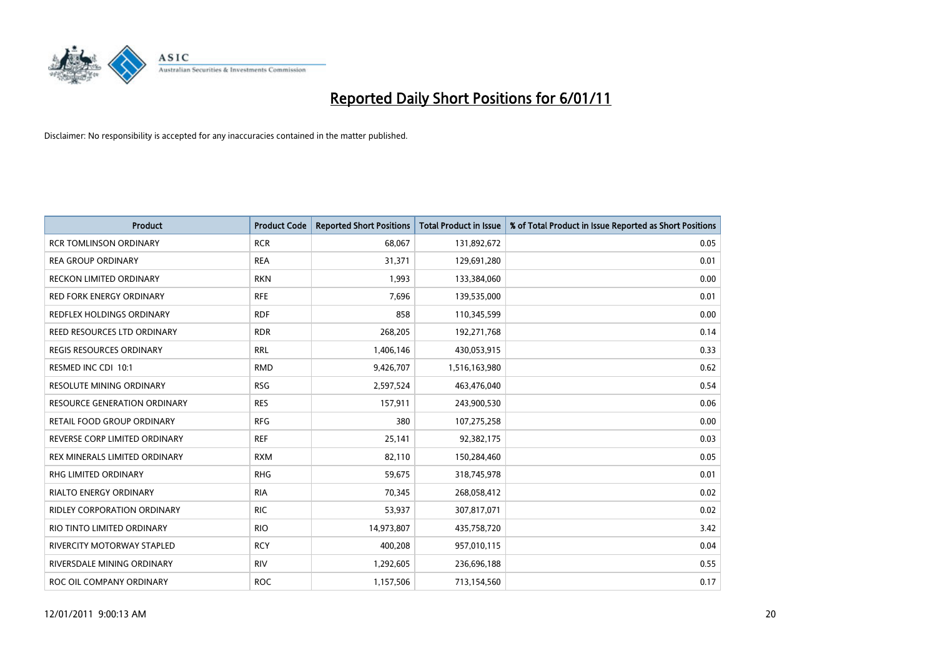

| Product                             | <b>Product Code</b> | <b>Reported Short Positions</b> | <b>Total Product in Issue</b> | % of Total Product in Issue Reported as Short Positions |
|-------------------------------------|---------------------|---------------------------------|-------------------------------|---------------------------------------------------------|
| <b>RCR TOMLINSON ORDINARY</b>       | <b>RCR</b>          | 68,067                          | 131,892,672                   | 0.05                                                    |
| <b>REA GROUP ORDINARY</b>           | <b>REA</b>          | 31,371                          | 129,691,280                   | 0.01                                                    |
| RECKON LIMITED ORDINARY             | <b>RKN</b>          | 1,993                           | 133,384,060                   | 0.00                                                    |
| <b>RED FORK ENERGY ORDINARY</b>     | <b>RFE</b>          | 7,696                           | 139,535,000                   | 0.01                                                    |
| <b>REDFLEX HOLDINGS ORDINARY</b>    | <b>RDF</b>          | 858                             | 110,345,599                   | 0.00                                                    |
| REED RESOURCES LTD ORDINARY         | <b>RDR</b>          | 268,205                         | 192,271,768                   | 0.14                                                    |
| REGIS RESOURCES ORDINARY            | <b>RRL</b>          | 1,406,146                       | 430,053,915                   | 0.33                                                    |
| RESMED INC CDI 10:1                 | <b>RMD</b>          | 9,426,707                       | 1,516,163,980                 | 0.62                                                    |
| <b>RESOLUTE MINING ORDINARY</b>     | <b>RSG</b>          | 2,597,524                       | 463,476,040                   | 0.54                                                    |
| <b>RESOURCE GENERATION ORDINARY</b> | <b>RES</b>          | 157,911                         | 243,900,530                   | 0.06                                                    |
| RETAIL FOOD GROUP ORDINARY          | <b>RFG</b>          | 380                             | 107,275,258                   | 0.00                                                    |
| REVERSE CORP LIMITED ORDINARY       | <b>REF</b>          | 25,141                          | 92,382,175                    | 0.03                                                    |
| REX MINERALS LIMITED ORDINARY       | <b>RXM</b>          | 82,110                          | 150,284,460                   | 0.05                                                    |
| <b>RHG LIMITED ORDINARY</b>         | <b>RHG</b>          | 59,675                          | 318,745,978                   | 0.01                                                    |
| <b>RIALTO ENERGY ORDINARY</b>       | <b>RIA</b>          | 70,345                          | 268,058,412                   | 0.02                                                    |
| RIDLEY CORPORATION ORDINARY         | <b>RIC</b>          | 53,937                          | 307,817,071                   | 0.02                                                    |
| RIO TINTO LIMITED ORDINARY          | <b>RIO</b>          | 14,973,807                      | 435,758,720                   | 3.42                                                    |
| RIVERCITY MOTORWAY STAPLED          | <b>RCY</b>          | 400,208                         | 957,010,115                   | 0.04                                                    |
| RIVERSDALE MINING ORDINARY          | <b>RIV</b>          | 1,292,605                       | 236,696,188                   | 0.55                                                    |
| ROC OIL COMPANY ORDINARY            | <b>ROC</b>          | 1,157,506                       | 713,154,560                   | 0.17                                                    |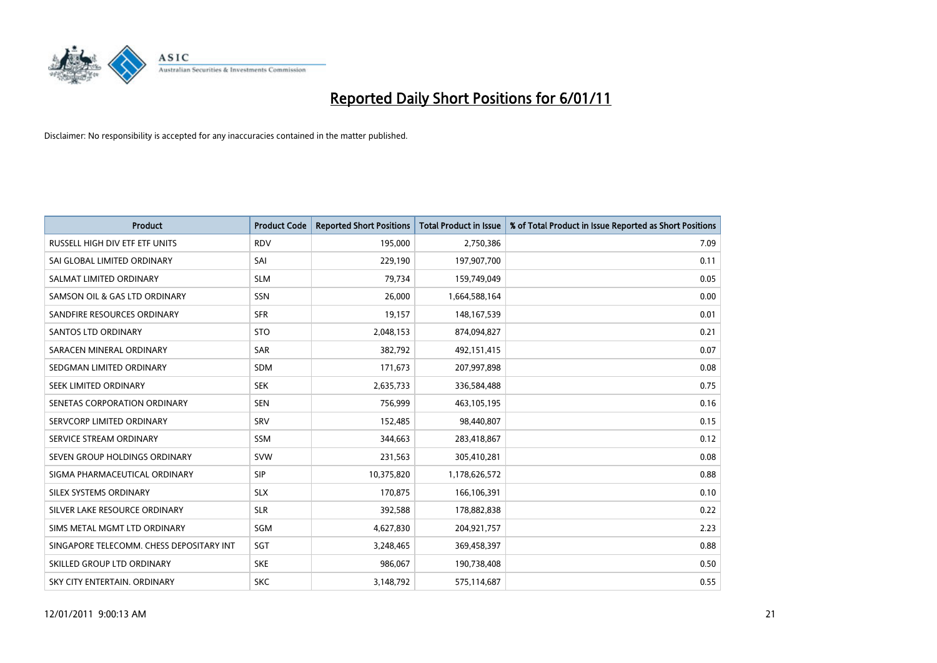

| <b>Product</b>                           | <b>Product Code</b> | <b>Reported Short Positions</b> | <b>Total Product in Issue</b> | % of Total Product in Issue Reported as Short Positions |
|------------------------------------------|---------------------|---------------------------------|-------------------------------|---------------------------------------------------------|
| RUSSELL HIGH DIV ETF ETF UNITS           | <b>RDV</b>          | 195,000                         | 2,750,386                     | 7.09                                                    |
| SAI GLOBAL LIMITED ORDINARY              | SAI                 | 229,190                         | 197,907,700                   | 0.11                                                    |
| SALMAT LIMITED ORDINARY                  | <b>SLM</b>          | 79,734                          | 159,749,049                   | 0.05                                                    |
| SAMSON OIL & GAS LTD ORDINARY            | SSN                 | 26,000                          | 1,664,588,164                 | 0.00                                                    |
| SANDFIRE RESOURCES ORDINARY              | <b>SFR</b>          | 19,157                          | 148, 167, 539                 | 0.01                                                    |
| <b>SANTOS LTD ORDINARY</b>               | <b>STO</b>          | 2,048,153                       | 874,094,827                   | 0.21                                                    |
| SARACEN MINERAL ORDINARY                 | <b>SAR</b>          | 382.792                         | 492,151,415                   | 0.07                                                    |
| SEDGMAN LIMITED ORDINARY                 | <b>SDM</b>          | 171,673                         | 207,997,898                   | 0.08                                                    |
| SEEK LIMITED ORDINARY                    | <b>SEK</b>          | 2,635,733                       | 336,584,488                   | 0.75                                                    |
| SENETAS CORPORATION ORDINARY             | <b>SEN</b>          | 756,999                         | 463,105,195                   | 0.16                                                    |
| SERVCORP LIMITED ORDINARY                | <b>SRV</b>          | 152,485                         | 98,440,807                    | 0.15                                                    |
| SERVICE STREAM ORDINARY                  | <b>SSM</b>          | 344,663                         | 283,418,867                   | 0.12                                                    |
| SEVEN GROUP HOLDINGS ORDINARY            | <b>SVW</b>          | 231,563                         | 305,410,281                   | 0.08                                                    |
| SIGMA PHARMACEUTICAL ORDINARY            | <b>SIP</b>          | 10,375,820                      | 1,178,626,572                 | 0.88                                                    |
| SILEX SYSTEMS ORDINARY                   | <b>SLX</b>          | 170,875                         | 166,106,391                   | 0.10                                                    |
| SILVER LAKE RESOURCE ORDINARY            | <b>SLR</b>          | 392,588                         | 178,882,838                   | 0.22                                                    |
| SIMS METAL MGMT LTD ORDINARY             | SGM                 | 4,627,830                       | 204,921,757                   | 2.23                                                    |
| SINGAPORE TELECOMM. CHESS DEPOSITARY INT | <b>SGT</b>          | 3,248,465                       | 369,458,397                   | 0.88                                                    |
| SKILLED GROUP LTD ORDINARY               | <b>SKE</b>          | 986,067                         | 190,738,408                   | 0.50                                                    |
| SKY CITY ENTERTAIN, ORDINARY             | <b>SKC</b>          | 3,148,792                       | 575,114,687                   | 0.55                                                    |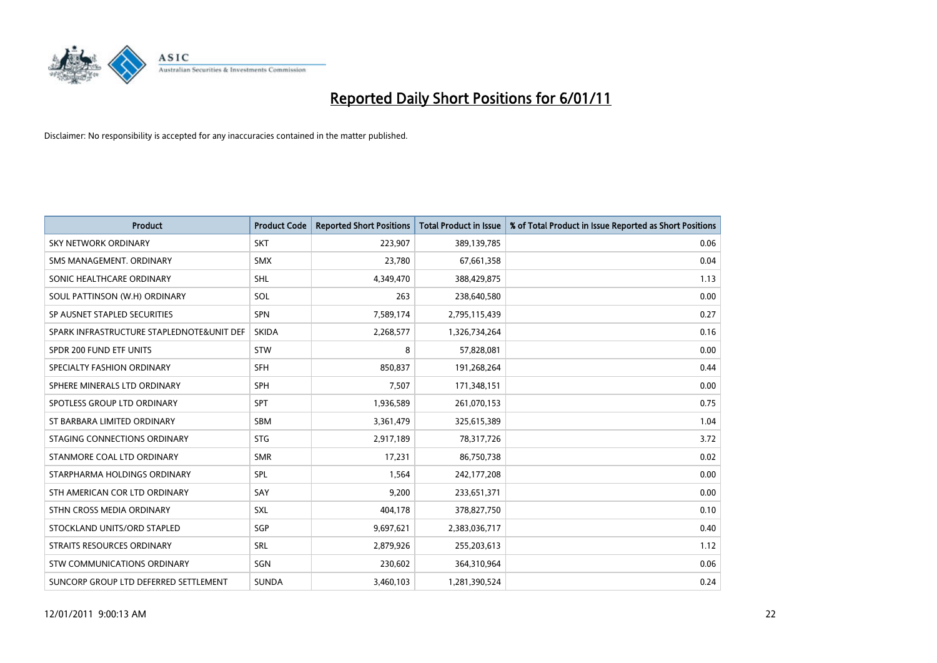

| <b>Product</b>                            | <b>Product Code</b> | <b>Reported Short Positions</b> | <b>Total Product in Issue</b> | % of Total Product in Issue Reported as Short Positions |
|-------------------------------------------|---------------------|---------------------------------|-------------------------------|---------------------------------------------------------|
| <b>SKY NETWORK ORDINARY</b>               | <b>SKT</b>          | 223,907                         | 389,139,785                   | 0.06                                                    |
| SMS MANAGEMENT. ORDINARY                  | <b>SMX</b>          | 23,780                          | 67,661,358                    | 0.04                                                    |
| SONIC HEALTHCARE ORDINARY                 | <b>SHL</b>          | 4,349,470                       | 388,429,875                   | 1.13                                                    |
| SOUL PATTINSON (W.H) ORDINARY             | SOL                 | 263                             | 238,640,580                   | 0.00                                                    |
| SP AUSNET STAPLED SECURITIES              | SPN                 | 7,589,174                       | 2,795,115,439                 | 0.27                                                    |
| SPARK INFRASTRUCTURE STAPLEDNOTE&UNIT DEF | <b>SKIDA</b>        | 2,268,577                       | 1,326,734,264                 | 0.16                                                    |
| SPDR 200 FUND ETF UNITS                   | <b>STW</b>          | 8                               | 57,828,081                    | 0.00                                                    |
| SPECIALTY FASHION ORDINARY                | <b>SFH</b>          | 850,837                         | 191,268,264                   | 0.44                                                    |
| SPHERE MINERALS LTD ORDINARY              | SPH                 | 7,507                           | 171,348,151                   | 0.00                                                    |
| SPOTLESS GROUP LTD ORDINARY               | <b>SPT</b>          | 1,936,589                       | 261,070,153                   | 0.75                                                    |
| ST BARBARA LIMITED ORDINARY               | <b>SBM</b>          | 3,361,479                       | 325,615,389                   | 1.04                                                    |
| STAGING CONNECTIONS ORDINARY              | <b>STG</b>          | 2,917,189                       | 78,317,726                    | 3.72                                                    |
| STANMORE COAL LTD ORDINARY                | <b>SMR</b>          | 17,231                          | 86,750,738                    | 0.02                                                    |
| STARPHARMA HOLDINGS ORDINARY              | SPL                 | 1,564                           | 242,177,208                   | 0.00                                                    |
| STH AMERICAN COR LTD ORDINARY             | SAY                 | 9,200                           | 233,651,371                   | 0.00                                                    |
| STHN CROSS MEDIA ORDINARY                 | SXL                 | 404,178                         | 378,827,750                   | 0.10                                                    |
| STOCKLAND UNITS/ORD STAPLED               | SGP                 | 9,697,621                       | 2,383,036,717                 | 0.40                                                    |
| STRAITS RESOURCES ORDINARY                | <b>SRL</b>          | 2,879,926                       | 255,203,613                   | 1.12                                                    |
| STW COMMUNICATIONS ORDINARY               | SGN                 | 230,602                         | 364,310,964                   | 0.06                                                    |
| SUNCORP GROUP LTD DEFERRED SETTLEMENT     | <b>SUNDA</b>        | 3,460,103                       | 1,281,390,524                 | 0.24                                                    |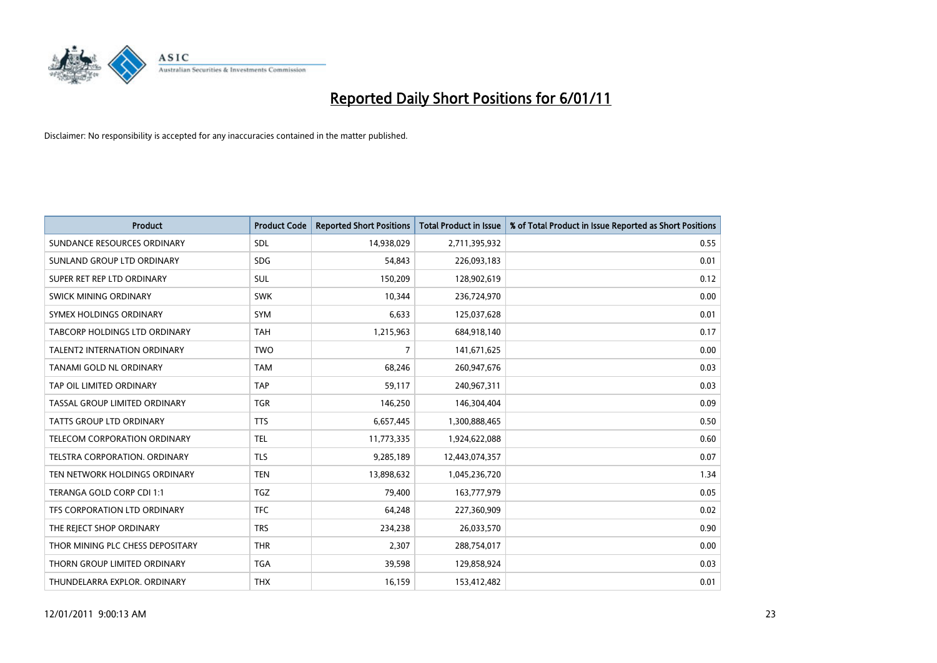

| <b>Product</b>                       | <b>Product Code</b> | <b>Reported Short Positions</b> | <b>Total Product in Issue</b> | % of Total Product in Issue Reported as Short Positions |
|--------------------------------------|---------------------|---------------------------------|-------------------------------|---------------------------------------------------------|
| SUNDANCE RESOURCES ORDINARY          | <b>SDL</b>          | 14,938,029                      | 2,711,395,932                 | 0.55                                                    |
| SUNLAND GROUP LTD ORDINARY           | <b>SDG</b>          | 54,843                          | 226,093,183                   | 0.01                                                    |
| SUPER RET REP LTD ORDINARY           | <b>SUL</b>          | 150,209                         | 128,902,619                   | 0.12                                                    |
| SWICK MINING ORDINARY                | <b>SWK</b>          | 10,344                          | 236,724,970                   | 0.00                                                    |
| SYMEX HOLDINGS ORDINARY              | SYM                 | 6,633                           | 125,037,628                   | 0.01                                                    |
| <b>TABCORP HOLDINGS LTD ORDINARY</b> | <b>TAH</b>          | 1,215,963                       | 684,918,140                   | 0.17                                                    |
| <b>TALENT2 INTERNATION ORDINARY</b>  | <b>TWO</b>          | 7                               | 141,671,625                   | 0.00                                                    |
| TANAMI GOLD NL ORDINARY              | <b>TAM</b>          | 68,246                          | 260,947,676                   | 0.03                                                    |
| TAP OIL LIMITED ORDINARY             | <b>TAP</b>          | 59,117                          | 240,967,311                   | 0.03                                                    |
| TASSAL GROUP LIMITED ORDINARY        | <b>TGR</b>          | 146,250                         | 146,304,404                   | 0.09                                                    |
| <b>TATTS GROUP LTD ORDINARY</b>      | <b>TTS</b>          | 6,657,445                       | 1,300,888,465                 | 0.50                                                    |
| TELECOM CORPORATION ORDINARY         | <b>TEL</b>          | 11,773,335                      | 1,924,622,088                 | 0.60                                                    |
| TELSTRA CORPORATION, ORDINARY        | <b>TLS</b>          | 9,285,189                       | 12,443,074,357                | 0.07                                                    |
| TEN NETWORK HOLDINGS ORDINARY        | <b>TEN</b>          | 13,898,632                      | 1,045,236,720                 | 1.34                                                    |
| TERANGA GOLD CORP CDI 1:1            | TGZ                 | 79,400                          | 163,777,979                   | 0.05                                                    |
| TFS CORPORATION LTD ORDINARY         | <b>TFC</b>          | 64,248                          | 227,360,909                   | 0.02                                                    |
| THE REJECT SHOP ORDINARY             | <b>TRS</b>          | 234,238                         | 26,033,570                    | 0.90                                                    |
| THOR MINING PLC CHESS DEPOSITARY     | <b>THR</b>          | 2,307                           | 288,754,017                   | 0.00                                                    |
| THORN GROUP LIMITED ORDINARY         | <b>TGA</b>          | 39,598                          | 129,858,924                   | 0.03                                                    |
| THUNDELARRA EXPLOR. ORDINARY         | <b>THX</b>          | 16,159                          | 153,412,482                   | 0.01                                                    |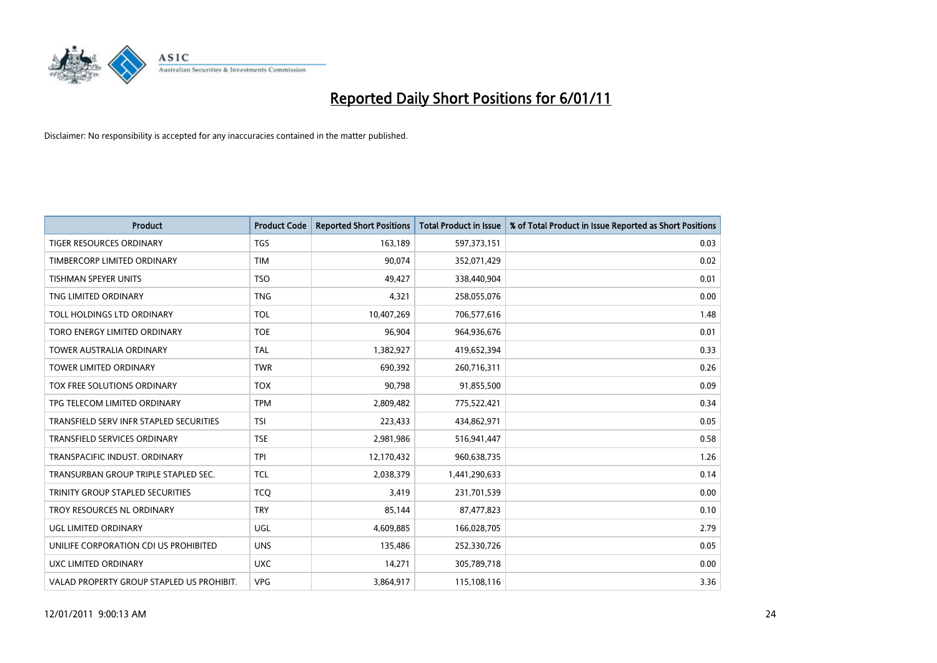

| <b>Product</b>                            | <b>Product Code</b> | <b>Reported Short Positions</b> | <b>Total Product in Issue</b> | % of Total Product in Issue Reported as Short Positions |
|-------------------------------------------|---------------------|---------------------------------|-------------------------------|---------------------------------------------------------|
| <b>TIGER RESOURCES ORDINARY</b>           | <b>TGS</b>          | 163,189                         | 597,373,151                   | 0.03                                                    |
| TIMBERCORP LIMITED ORDINARY               | <b>TIM</b>          | 90.074                          | 352,071,429                   | 0.02                                                    |
| <b>TISHMAN SPEYER UNITS</b>               | <b>TSO</b>          | 49,427                          | 338,440,904                   | 0.01                                                    |
| TNG LIMITED ORDINARY                      | <b>TNG</b>          | 4,321                           | 258,055,076                   | 0.00                                                    |
| <b>TOLL HOLDINGS LTD ORDINARY</b>         | <b>TOL</b>          | 10,407,269                      | 706,577,616                   | 1.48                                                    |
| TORO ENERGY LIMITED ORDINARY              | <b>TOE</b>          | 96,904                          | 964,936,676                   | 0.01                                                    |
| <b>TOWER AUSTRALIA ORDINARY</b>           | <b>TAL</b>          | 1,382,927                       | 419,652,394                   | 0.33                                                    |
| <b>TOWER LIMITED ORDINARY</b>             | <b>TWR</b>          | 690,392                         | 260,716,311                   | 0.26                                                    |
| TOX FREE SOLUTIONS ORDINARY               | <b>TOX</b>          | 90,798                          | 91,855,500                    | 0.09                                                    |
| TPG TELECOM LIMITED ORDINARY              | <b>TPM</b>          | 2,809,482                       | 775,522,421                   | 0.34                                                    |
| TRANSFIELD SERV INFR STAPLED SECURITIES   | <b>TSI</b>          | 223,433                         | 434,862,971                   | 0.05                                                    |
| <b>TRANSFIELD SERVICES ORDINARY</b>       | <b>TSE</b>          | 2,981,986                       | 516,941,447                   | 0.58                                                    |
| TRANSPACIFIC INDUST, ORDINARY             | <b>TPI</b>          | 12,170,432                      | 960,638,735                   | 1.26                                                    |
| TRANSURBAN GROUP TRIPLE STAPLED SEC.      | <b>TCL</b>          | 2,038,379                       | 1,441,290,633                 | 0.14                                                    |
| TRINITY GROUP STAPLED SECURITIES          | <b>TCO</b>          | 3,419                           | 231,701,539                   | 0.00                                                    |
| TROY RESOURCES NL ORDINARY                | <b>TRY</b>          | 85,144                          | 87,477,823                    | 0.10                                                    |
| UGL LIMITED ORDINARY                      | <b>UGL</b>          | 4,609,885                       | 166,028,705                   | 2.79                                                    |
| UNILIFE CORPORATION CDI US PROHIBITED     | <b>UNS</b>          | 135,486                         | 252,330,726                   | 0.05                                                    |
| UXC LIMITED ORDINARY                      | <b>UXC</b>          | 14,271                          | 305,789,718                   | 0.00                                                    |
| VALAD PROPERTY GROUP STAPLED US PROHIBIT. | <b>VPG</b>          | 3,864,917                       | 115,108,116                   | 3.36                                                    |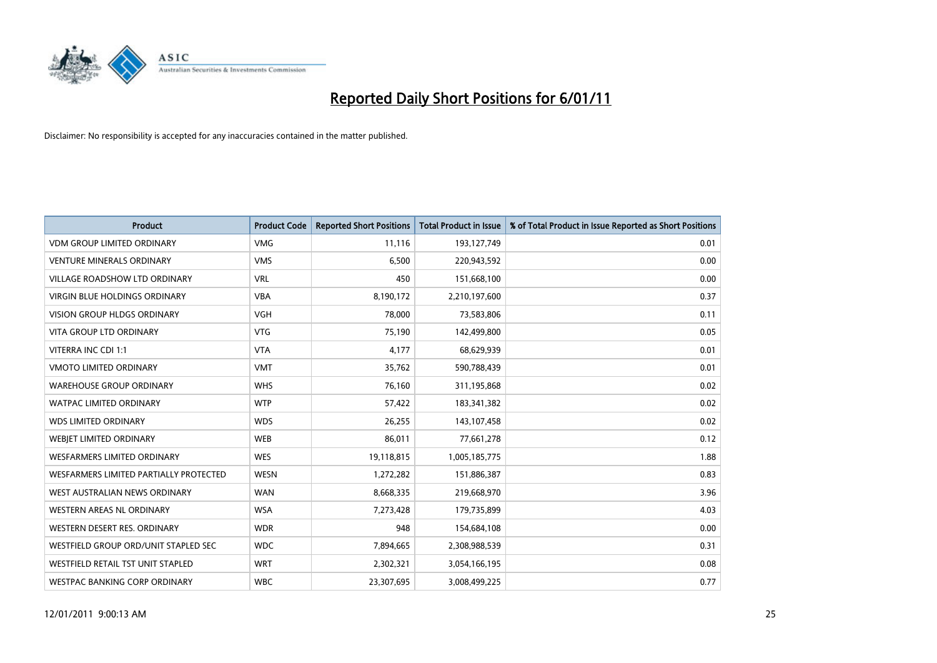

| <b>Product</b>                         | <b>Product Code</b> | <b>Reported Short Positions</b> | Total Product in Issue | % of Total Product in Issue Reported as Short Positions |
|----------------------------------------|---------------------|---------------------------------|------------------------|---------------------------------------------------------|
| <b>VDM GROUP LIMITED ORDINARY</b>      | <b>VMG</b>          | 11,116                          | 193,127,749            | 0.01                                                    |
| <b>VENTURE MINERALS ORDINARY</b>       | <b>VMS</b>          | 6,500                           | 220,943,592            | 0.00                                                    |
| VILLAGE ROADSHOW LTD ORDINARY          | <b>VRL</b>          | 450                             | 151,668,100            | 0.00                                                    |
| <b>VIRGIN BLUE HOLDINGS ORDINARY</b>   | <b>VBA</b>          | 8,190,172                       | 2,210,197,600          | 0.37                                                    |
| <b>VISION GROUP HLDGS ORDINARY</b>     | <b>VGH</b>          | 78,000                          | 73,583,806             | 0.11                                                    |
| <b>VITA GROUP LTD ORDINARY</b>         | <b>VTG</b>          | 75,190                          | 142,499,800            | 0.05                                                    |
| VITERRA INC CDI 1:1                    | <b>VTA</b>          | 4,177                           | 68,629,939             | 0.01                                                    |
| VMOTO LIMITED ORDINARY                 | <b>VMT</b>          | 35,762                          | 590,788,439            | 0.01                                                    |
| <b>WAREHOUSE GROUP ORDINARY</b>        | <b>WHS</b>          | 76,160                          | 311,195,868            | 0.02                                                    |
| <b>WATPAC LIMITED ORDINARY</b>         | <b>WTP</b>          | 57,422                          | 183,341,382            | 0.02                                                    |
| <b>WDS LIMITED ORDINARY</b>            | <b>WDS</b>          | 26,255                          | 143,107,458            | 0.02                                                    |
| WEBIET LIMITED ORDINARY                | <b>WEB</b>          | 86,011                          | 77,661,278             | 0.12                                                    |
| <b>WESFARMERS LIMITED ORDINARY</b>     | <b>WES</b>          | 19,118,815                      | 1,005,185,775          | 1.88                                                    |
| WESFARMERS LIMITED PARTIALLY PROTECTED | <b>WESN</b>         | 1,272,282                       | 151,886,387            | 0.83                                                    |
| WEST AUSTRALIAN NEWS ORDINARY          | <b>WAN</b>          | 8,668,335                       | 219,668,970            | 3.96                                                    |
| <b>WESTERN AREAS NL ORDINARY</b>       | <b>WSA</b>          | 7,273,428                       | 179,735,899            | 4.03                                                    |
| WESTERN DESERT RES. ORDINARY           | <b>WDR</b>          | 948                             | 154,684,108            | 0.00                                                    |
| WESTFIELD GROUP ORD/UNIT STAPLED SEC   | <b>WDC</b>          | 7,894,665                       | 2,308,988,539          | 0.31                                                    |
| WESTFIELD RETAIL TST UNIT STAPLED      | <b>WRT</b>          | 2,302,321                       | 3,054,166,195          | 0.08                                                    |
| WESTPAC BANKING CORP ORDINARY          | <b>WBC</b>          | 23,307,695                      | 3,008,499,225          | 0.77                                                    |